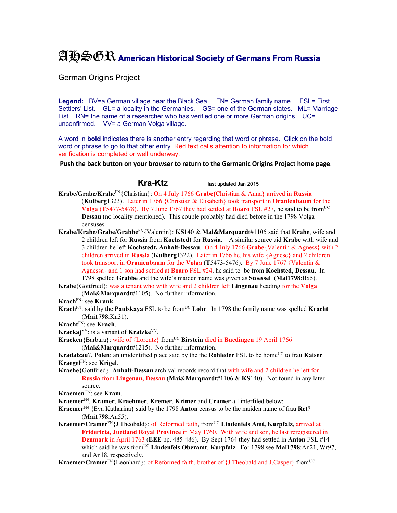## AHSGR **American Historical Society of Germans From Russia**

German Origins Project

**Legend:** BV=a German village near the Black Sea . FN= German family name. FSL= First Settlers' List. GL= a locality in the Germanies. GS= one of the German states. ML= Marriage List. RN= the name of a researcher who has verified one or more German origins. UC= unconfirmed. VV= a German Volga village.

A word in **bold** indicates there is another entry regarding that word or phrase. Click on the bold word or phrase to go to that other entry. Red text calls attention to information for which verification is completed or well underway.

**Push the back button on your browser to return to the Germanic Origins Project home page**.

**Kra-Ktz** last updated Jan 2015

- **Krabe/Grabe/Krahe**FN{Christian}: On 4 July 1766 **Grabe{**Christian & Anna} arrived in **Russia**  (**Kulberg**1323).Later in 1766 {Christian & Elisabeth} took transport in **Oranienbaum** for the **Volga** (**T**5477-5478). By 7 June 1767 they had settled at **Boaro** FSL  $\#27$ , he said to be from<sup>UC</sup> **Dessau** (no locality mentioned). This couple probably had died before in the 1798 Volga censuses.
- **Krabe/Krahe/Grabe/Grabbe**FN{Valentin}: **KS**140 & **Mai&Marquardt**#1105 said that **Krahe**, wife and 2 children left for **Russia** from **Kochstedt** for **Russia**. A similar source aid **Krabe** with wife and 3 children he left **Kochstedt, Anhalt-Dessau**. On 4 July 1766 **Grabe**{Valentin & Agness} with 2 children arrived in **Russia** (**Kulberg**1322).Later in 1766 he, his wife {Agnese} and 2 children took transport in **Oranienbaum** for the **Volga** (**T**5473-5476). By 7 June 1767 {Valentin & Agnessa} and 1 son had settled at **Boaro** FSL #24, he said to be from **Kochsted, Dessau**. In 1798 spelled **Grabbe** and the wife's maiden name was given as **Stoessel** (**Mai1798**:Bx5).
- **Krabe**{Gottfried}: was a tenant who with wife and 2 children left **Lingenau** heading for the **Volga** (**Mai&Marquardt**#1105). No further information.
- **Krach**FN: see **Krank**.
- **Krach**<sup>FN</sup>: said by the **Paulskaya** FSL to be from<sup>UC</sup> Lohr. In 1798 the family name was spelled **Kracht** (**Mai1798**:Kn31).
- **Kracht**FN: see **Krach**.

**Krackaj**VV: is a variant of **Kratzke**VV.

**Kracken**{Barbara}: wife of {Lorentz} from<sup>UC</sup> **Birstein** died in **Buedingen** 19 April 1766

(**Mai&Marquardt**#1215). No further information.

**Kradalzau**?, **Polen**: an unidentified place said by the the **Rohleder** FSL to be home<sup>UC</sup> to frau **Kaiser**. **Kraegel**FN: see **Krigel**.

- **Kraehe**{Gottfried}: **Anhalt-Dessau** archival records record that with wife and 2 children he left for **Russia** from **Lingenau, Dessau** (**Mai&Marquardt**#1106 & **KS**140). Not found in any later source.
- **Kraemen** FN: see **Kram**.
- **Kraemer**FN, **Kramer**, **Kraehmer**, **Kremer**, **Krimer** and **Cramer** all interfiled below:
- **Kraemer**FN {Eva Katharina} said by the 1798 **Anton** census to be the maiden name of frau **Ret**? (**Mai1798**:An55).
- Kraemer/Cramer<sup>FN</sup>{J.Theobald}: of Reformed faith, from<sup>UC</sup> Lindenfels Amt, Kurpfalz, arrived at **Fridericia, Juetland Royal Province** in May 1760. With wife and son, he last reregistered in **Denmark** in April 1763 (**EEE** pp. 485-486). By Sept 1764 they had settled in **Anton** FSL #14 which said he was from<sup>UC</sup> Lindenfels Oberamt, **Kurpfalz**. For 1798 see Mai1798:An21, Wr97, and An18, respectively.

**Kraemer/Cramer**<sup>FN</sup>{Leonhard}: of Reformed faith, brother of {J.Theobald and J.Casper} from<sup>UC</sup>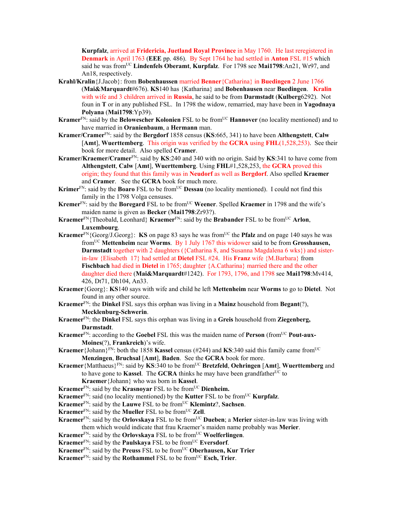**Kurpfalz**, arrived at **Fridericia, Juetland Royal Province** in May 1760. He last reregistered in **Denmark** in April 1763 (**EEE** pp. 486). By Sept 1764 he had settled in **Anton** FSL #15 which said he was fromUC **Lindenfels Oberamt**, **Kurpfalz**. For 1798 see **Mai1798**:An21, Wr97, and An18, respectively.

- **Krahl/Kralin**{J.Jacob}: from **Bobenhaussen** married **Benner**{Catharina} in **Buedingen** 2 June 1766 (**Mai&Marquardt**#676). **KS**140 has {Katharina} and **Bobenhausen** near **Buedingen**. **Kralin**  with wife and 3 children arrived in **Russia**, he said to be from **Darmstadt** (**Kulberg**6292).Not foun in **T** or in any published FSL. In 1798 the widow, remarried, may have been in **Yagodnaya Polyana** (**Mai1798**:Yp39).
- **Kramer**<sup>FN</sup>: said by the **Belowescher Kolonien** FSL to be from<sup>UC</sup> **Hannover** (no locality mentioned) and to have married in **Oranienbaum**, a **Hermann** man.
- **Kramer/Cramer**FN: said by the **Bergdorf** 1858 census (**KS**:665, 341) to have been **Althengstett**, **Calw** [**Amt**], **Wuerttemberg**. This origin was verified by the **GCRA** using **FHL**(1,528,253). See their book for more detail. Also spelled **Cramer**.
- **Kramer/Kraemer/Cramer**FN: said by **KS**:240 and 340 with no origin. Said by **KS**:341 to have come from **Althengstett**, **Calw** [**Amt**], **Wuerttemberg**. Using **FHL**#1,528,253, the **GCRA** proved this origin; they found that this family was in **Neudorf** as well as **Bergdorf**. Also spelled **Kraemer** and **Cramer**. See the **GCRA** book for much more.
- Krimer<sup>FN</sup>: said by the **Boaro** FSL to be from<sup>UC</sup> **Dessau** (no locality mentioned). I could not find this family in the 1798 Volga censuses.
- **Kremer**<sup>FN</sup>: said by the **Boregard** FSL to be from<sup>UC</sup> Weener. Spelled **Kraemer** in 1798 and the wife's maiden name is given as **Becker** (**Mai1798**:Zr93?).
- **Kraemer**FN{Theobald, Leonhard} **Kraemer**FN: said by the **Brabander** FSL to be fromUC **Arlon**, **Luxembourg**.
- **Kraemer**<sup>FN</sup>{Georg/J.Georg}: **KS** on page 83 says he was from<sup>UC</sup> the **Pfalz** and on page 140 says he was fromUC **Mettenheim** near **Worms**. By 1 July 1767 this widower said to be from **Grosshausen, Darmstadt** together with 2 daughters ({Catharina 8, and Susanna Magdalena 6 wks}) and sisterin-law {Elisabeth 17} had settled at **Dietel** FSL #24. His **Franz** wife {M.Barbara} from **Fischbach** had died in **Dietel** in 1765; daughter {A.Catharina} married there and the other daughter died there (**Mai&Marquardt**#1242). For 1793, 1796, and 1798 see **Mai1798**:Mv414, 426, Dt71, Dh104, An33.
- **Kraemer**{Georg}: **KS**140 says with wife and child he left **Mettenheim** near **Worms** to go to **Dietel**. Not found in any other source.
- **Kraemer**FN: the **Dinkel** FSL says this orphan was living in a **Mainz** household from **Begant**(?), **Mecklenburg-Schwerin**.
- **Kraemer**FN: the **Dinkel** FSL says this orphan was living in a **Greis** household from **Ziegenberg, Darmstadt**.
- **Kraemer**<sup>FN</sup>: according to the **Goebel** FSL this was the maiden name of **Person** (from<sup>UC</sup> **Pout-aux-Moines**(?), **Frankreich**)'s wife.
- **Kraemer** {Johann}<sup>FN</sup>: both the 1858 **Kassel** census (#244) and **KS**:340 said this family came from<sup>UC</sup> **Menzingen**, **Bruchsal** [**Amt**], **Baden**. See the **GCRA** book for more.
- **Kraemer**{Matthaeus}FN: said by **KS**:340 to be fromUC **Bretzfeld**, **Oehringen** [**Amt**], **Wuerttemberg** and to have gone to **Kassel**. The **GCRA** thinks he may have been grandfather<sup>UC</sup> to **Kraemer**{Johann} who was born in **Kassel**.

**Kraemer**<sup>FN</sup>: said by the **Krasnovar** FSL to be from<sup>UC</sup> Dienheim.

**Kraemer**<sup>FN</sup>: said (no locality mentioned) by the **Kutter** FSL to be from<sup>UC</sup> **Kurpfalz**.

**Kraemer**FN: said by the **Lauwe** FSL to be fromUC **Klemintz**?, **Sachsen**.

- **Kraemer**<sup>FN</sup>: said by the **Mueller** FSL to be from<sup>UC</sup> **Zell**.
- **Kraemer**FN: said by the **Orlovskaya** FSL to be fromUC **Dueben**; a **Merier** sister-in-law was living with them which would indicate that frau Kraemer's maiden name probably was **Merier**.
- **Kraemer**<sup>FN</sup>: said by the **Orlovskaya** FSL to be from<sup>UC</sup> **Woelferlingen**.
- **Kraemer**<sup>FN</sup>: said by the **Paulskaya** FSL to be from<sup>UC</sup> **Eversdorf**.
- **Kraemer**<sup>FN</sup>: said by the **Preuss** FSL to be from<sup>UC</sup> **Oberhausen, Kur Trier**
- **Kraemer**<sup>FN</sup>: said by the **Rothammel** FSL to be from<sup>UC</sup> **Esch, Trier**.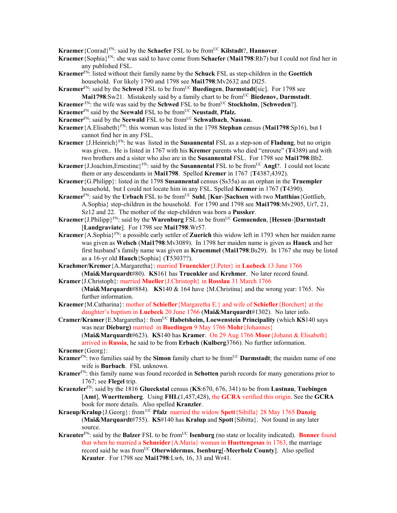**Kraemer**{Conrad}<sup>FN</sup>: said by the **Schaefer** FSL to be from<sup>UC</sup> **Kilstadt**?, **Hannover**.

- **Kraemer**{Sophia}FN: she was said to have come from **Schaefer** (**Mai1798**:Rh7) but I could not find her in any published FSL.
- **Kraemer**FN: listed without their family name by the **Schuck** FSL as step-children in the **Goettich**  household. For likely 1790 and 1798 see **Mai1798**:Mv2632 and Dl25.
- **Kraemer**<sup>FN</sup>: said by the **Schwed** FSL to be from<sup>UC</sup> Buedingen, Darmstadt [sic]. For 1798 see Mai1798:Sw21. Mistakenly said by a family chart to be from<sup>UC</sup> Biedenov, Darmstadt.
- **Kraemer**<sup>FN</sup>: the wife was said by the **Schwed** FSL to be from<sup>UC</sup> **Stockholm**, [**Schweden**?].
- **Kraemer**<sup>FN</sup> said by the **Seewald** FSL to be from<sup>UC</sup> **Neustadt**, **Pfalz.**
- **Kraemer**<sup>FN</sup>: said by the **Seewald** FSL to be from<sup>UC</sup> **Schwalbach**, **Nassau.**
- **Kraemer**{A.Elisabeth}FN: this woman was listed in the 1798 **Stephan** census (**Mai1798**:Sp16), but I cannot find her in any FSL.
- **Kraemer** {J.Heinrich}FN: he was listed in the **Susannental** FSL as a step-son of **Fladung**, but no origin was given.. He is listed in 1767 with his **Kremer** parents who died "enroute" (**T**4389) and with two brothers and a sister who also are in the **Susannental** FSL. For 1798 see **Mai1798**:Bb2.
- **Kraemer** {J.Joachim, Ernestine}<sup>FN</sup>: said by the **Susannental** FSL to be from<sup>UC</sup> **Angl**?. I could not locate them or any descendants in **Mai1798**. Spelled **Kremer** in 1767 {**T**4387,4392).
- **Kraemer**{G.Philipp}: listed in the 1798 **Susannental** census (Ss35a) as an orphan in the **Truempler** household, but I could not locate him in any FSL. Spelled **Kremer** in 1767 (**T**4390).
- **Kraemer**<sup>FN</sup>: said by the **Urbach** FSL to be from<sup>UC</sup> Suhl, [**Kur-**]Sachsen with two **Matthias**{Gottlieb, A.Sophia} step-children in the household. For 1790 and 1798 see **Mai1798**:Mv2905, Ur7, 21, Sz12 and 22. The mother of the step-children was born a **Pussker**.
- **Kraemer**{J.Philipp}FN: said by the **Warenburg** FSL to be fromUC **Gemuenden**, [**Hessen**-]**Darmstadt** [**Landgraviate**]. For 1798 see **Mai1798**:Wr57.
- **Kraemer**{A.Sophia}FN: a possible early settler of **Zuerich** this widow left in 1793 when her maiden name was given as **Welsch** (**Mai1798**:Mv3089). In 1798 her maiden name is given as **Hauck** and her first husband's family name was given as **Kruemmel** (**Mai1798**:Bs29). In 1767 she may be listed as a 16-yr old **Hauch**{Sophia} (**T**5303??).
- **Kraehmer/Kremer**{A.Margaretha}: married **Truenckler**{J.Peter} in **Luebeck** 13 June 1766 (**Mai&Marquardt**#80). **KS**161 has **Truenkler** and **Krehmer**. No later record found.
- **Kramer**{J.Christoph}: married **Mueller**{J.Christoph} in **Rosslau** 31 March 1766 (**Mai&Marquardt**#884). **KS**140 & 164 have {M.Christina} and the wrong year: 1765. No further information.
- **Kraemer**{M.Catharina}: mother of **Schiefler**{Margaretha E.} and wife of **Schiefler**{Borchert} at the daughter's baptism in **Luebeck** 20 June 1766 (**Mai&Marquardt**#1302). No later info.
- **Cramer/Kramer**{E.Margaretha}: fromUC **Habetsheim, Loewenstein Principality** (which **KS**140 says was near **Dieburg)** married in **Buedingen** 9 May 1766 **Mohr**{Johannes}

(**Mai&Marquardt**#623). **KS**140 has **Kramer**. On 29 Aug 1766 **Moor**{Johann & Elisabeth} arrived in **Russia**, he said to be from **Erbach** (**Kulberg**3766). No further information.

**Kraemer**{Georg}:

- **Kramer**<sup>FN</sup>: two families said by the **Simon** family chart to be from<sup>UC</sup> **Darmstadt**; the maiden name of one wife is **Burbach**. FSL unknown.
- **Kramer**FN: this family name was found recorded in **Schotten** parish records for many generations prior to 1767; see **Flegel** trip.
- **Kraenzler**FN: said by the 1816 **Glueckstal** census (**KS**:670, 676, 341) to be from **Lustnau**, **Tuebingen** [**Amt**], **Wuerttemberg**. Using **FHL**(1,457,428), the **GCRA** verified this origin. See the **GCRA** book for more details. Also spelled **Kranzler**.
- **Kraeup/Kralup**{J.Georg}: from UC **Pfalz** married the widow **Spett**{Sibilla} 28 May 1765 **Danzig**  (**Mai&Marquardt**#755). **KS**#140 has **Kralup** and **Spott**{Sibitta}. Not found in any later source.
- **Kraeuter**<sup>FN</sup>: said by the **Balzer** FSL to be from<sup>UC</sup> **Isenburg** (no state or locality indicated). **Bonner** found that when he married a **Schneider**{A.Maria} woman in **Huettengesas** in 1763, the marriage record said he was fromUC **Oberwidermus**, **Isenburg**[-**Meerholz County**]. Also spelled **Krauter**. For 1798 see **Mai1798**:Lw6, 16, 33 and Wr41.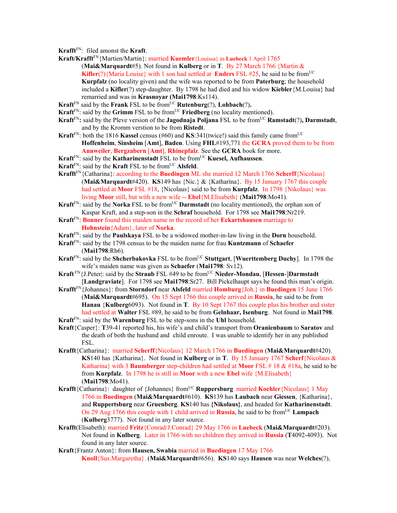- **Krafft**FN: filed amonst the **Kraft**.
- **Kraft/Krafft**FN{Martien/Martin}: married **Kuemler**{Louissa} in **Luebeck** 1 April 1765 (**Mai&Marquardt**#5). Not found in **Kulberg** or in **T**. By 27 March 1766 {Martin & **Kifler**(?){Maria Louise} with 1 son had settled at **Enders** FSL #25, he said to be from<sup>UC</sup> **Kurpfalz** (no locality given) and the wife was reported to be from **Paterburg**; the household included a **Kifler**(?) step-daughter. By 1798 he had died and his widow **Kiebler**{M.Louisa} had remarried and was in **Krasnoyar (Mai1798**:Ks114).
- **Kraft**<sup>FN</sup> said by the **Frank** FSL to be from<sup>UC</sup> **Rutenburg**(?), **Lohbach**(?).
- **Kraft**<sup>FN</sup>: said by the **Grimm** FSL to be from<sup>UC</sup> **Friedberg** (no locality mentioned).
- **Kraft**<sup>FN</sup>: said by the Pleve version of the **Jagodnaja Poljana** FSL to be from<sup>UC</sup> **Ramstadt**(?), **Darmstadt**, and by the Kromm verstion to be from **Ristedt**.
- **Kraft**<sup>FN</sup>: both the 1816 **Kassel** census (#60) and **KS**:341(twice!) said this family came from<sup>UC</sup> **Hoffenheim**, **Sinsheim** [**Amt**], **Baden**. Using **FHL**#193,771 the **GCRA** proved them to be from **Annweiler**, **Bergzabern** [**Amt**], **Rhinepfalz**. See the **GCRA** book for more.
- **Kraft**<sup>FN</sup>: said by the **Katharinenstadt** FSL to be from<sup>UC</sup> **Kuesel, Aufhaussen**.
- **Kraft**<sup>FN</sup>: said by the **Kraft** FSL to be from<sup>UC</sup> **Alsfeld**.
- **Krafft**FN{Catharina}: according to the **Buedingen** ML she married 12 March 1766 **Scherff**{Nicolaus} (**Mai&Marquardt**#420). **KS**149 has {Nic.} & {Katharina}. By 15 January 1767 this couple had settled at **Moor** FSL #18, {Nicolaus} said to be from **Kurpfalz**. In 1798 {Nikolaus} was living **Moor** still, but with a new wife -- **Ebel**{M.Elisabeth} (**Mai1798**:Mo41).
- **Kraft**<sup>FN</sup>: said by the **Norka** FSL to be from<sup>UC</sup> **Darmstadt** (no locality mentioned), the orphan son of Kaspar Kraft, and a step-son in the **Schraf** household. For 1798 see **Mai1798**:Nr219.
- **Kraft**FN: **Bonner** found this maiden name in the record of her **Eckartshausen** marriage to **Hohnstein**{Adam}, later of **Norka**.
- **Kraft**FN: said by the **Paulskaya** FSL to be a widowed mother-in-law living in the **Dorn** household.
- **Kraft**FN: said by the 1798 census to be the maiden name for frau **Kuntzmann** of **Schaefer**  (**Mai1798**:Rh6).
- **Kraft**<sup>FN</sup>: said by the **Shcherbakovka** FSL to be from<sup>UC</sup> **Stuttgart**, [Wuerttemberg Duchy]. In 1798 the wife's maiden name was given as **Schaefer** (**Mai1798**: Sv12).
- **Kraft** FN{J.Peter|: said by the **Straub** FSL #49 to be fromUC **Nieder-Mondau**, [**Hessen**-]**Darmstadt** [**Landgraviate**]. For 1798 see **Mai1798**:Sr27. Bill Pickelhaupt says he found this man's origin.
- **Krafft**FN{Johannes}: from **Storndorf** near **Alsfeld** married **Homburg**{Joh.} in **Buedingen** 15 June 1766 (**Mai&Marquardt**#695). On 15 Sept 1766 this couple arrived in **Russia**, he said to be from **Hanau** {**Kulberg**6093). Not found in **T**. By 10 Sept 1767 this couple plus his brother and sister had settled at **Walter** FSL #89, he said to be from **Gelnhaar, Isenburg**. Not found in **Mai1798**.
- **Kraft**FN: said by the **Warenburg** FSL to be step-sons in the **Uhl** household.
- **Kraft**{Casper}: **T**39-41 reported his, his wife's and child's transport from **Oranienbaum** to **Saratov** and the death of both the husband and child enroute. I was unable to identify her in any published FSL.
- **Krafft**{Catharina}: married **Scherff**{Nicolaus} 12 March 1766 in **Buedingen** (**Mai&Marquardt**#420). **KS**140 has {Katharina}. Not found in **Kulberg** or in **T**. By 15 January 1767 **Scherf**{Nicolaus & Katharina} with 3 **Baumberger** step-children had settled at **Moor** FSL # 18 & #18a, he said to be from **Kurpfalz**. In 1798 he is still in **Moor** with a new **Ebel** wife {M.Elisabeth} (**Mai1798**:Mo41).
- **Krafft**{Catharina}: daughter of {Johannes} from<sup>UC</sup> **Ruppersburg** married **Koehler**{Nicolaus} 1 May 1766 in **Buedingen** (**Mai&Marquardt**#610). **KS**139 has **Laubach** near **Giessen**, {Katharina}, and **Ruppertsburg** near **Gruenberg**. **KS**140 has **{Nikolaus}**, and headed for **Katharinenstadt**. On 29 Aug 1766 this couple with 1 child arrived in **Russia**, he said to be from<sup>UC</sup> Lampach (**Kulberg**3777). Not found in any later source.
- **Krafft**(Elisabeth): married **Fritz**{Conrad/J.Conrad} 29 May 1766 in **Luebeck** (**Mai&Marquardt**#203). Not found in **Kulberg**. Later in 1766 with no children they arrived in **Russia** (**T**4092-4093). Not found in any later source.
- **Kraft**{Frantz Anton}: from **Hausen, Swabia** married in **Buedingen** 17 May 1766 **Knoll**{Sus.Margaretha}. (**Mai&Marquardt**#656). **KS**140 says **Hausen** was near **Welches**(?),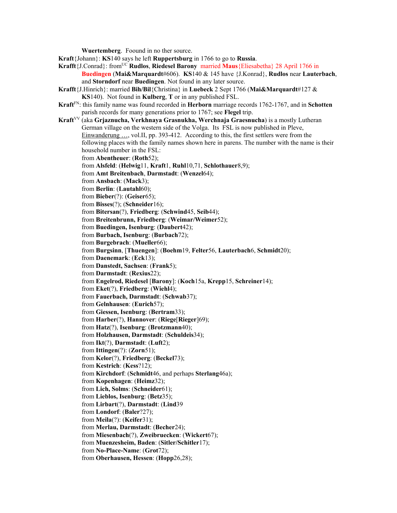**Wuertemberg**. Foound in no ther source.

**Kraft**{Johann}: **KS**140 says he left **Ruppertsburg** in 1766 to go to **Russia**.

- **Krafft**{J.Conrad}: from<sup>UC</sup> **Rudlos**, **Riedesel Barony** married **Maus**{Eliesabetha} 28 April 1766 in **Buedingen** (**Mai&Marquardt**#606). **KS**140 & 145 have {J.Konrad}, **Rudlos** near **Lauterbach**, and **Storndorf** near **Buedingen**. Not found in any later source.
- **Krafft**{J.Hinrich}: married **Bih/Bil**{Christina} in **Luebeck** 2 Sept 1766 (**Mai&Marquardt**#127 & **KS**140). Not found in **Kulberg**, **T** or in any published FSL.
- **Kraft**FN: this family name was found recorded in **Herborn** marriage records 1762-1767, and in **Schotten** parish records for many generations prior to 1767; see **Flegel** trip.
- **Kraft**VV (aka **Grjaznucha, Verkhnaya Grasnukha, Werchnaja Graesnucha**) is a mostly Lutheran German village on the western side of the Volga. Its FSL is now published in Pleve, Einwanderung …, vol.II, pp. 393-412. According to this, the first settlers were from the following places with the family names shown here in parens. The number with the name is their household number in the FSL: from **Abentheuer**: (**Roth**52); from **Alsfeld**: (**Helwig**11, **Kraft**1, **Ruhl**10,71, **Schlothauer**8,9); from **Amt Breitenbach**, **Darmstadt**: (**Wenzel**64); from **Ansbach**: (**Mack**3); from **Berlin**: (**Lautahl**60); from **Bieber**(?): (**Geiser**65); from **Bisses**(?); (**Schneider**16); from **Bitersan**(?), **Friedberg**: (**Schwind**45, **Seib**44); from **Breitenbrunn, Friedberg**: (**Weimar/Weimer**52); from **Buedingen, Isenburg**: (**Daubert**42); from **Burbach, Isenburg**: (**Burbach**72); from **Burgebrach**: (**Mueller**66); from **Burgsinn**, [**Thuengen**]: (**Boehm**19, **Felter**56, **Lauterbach**6, **Schmidt**20); from **Daenemark**: (**Eck**13); from **Danstedt, Sachsen**: (**Frank**5); from **Darmstadt**: (**Rexius**22); from **Engelrod, Riedesel** [**Barony**]: (**Koch**15a, **Krepp**15, **Schreiner**14); from **Eket**(?), **Friedberg**: (**Wiehl**4); from **Fauerbach, Darmstadt**: (**Schwab**37); from **Gelnhausen**: (**Eurich**57); from **Giessen, Isenburg**: (**Bertram**33); from **Harber**(?), **Hannover**: (**Riege**[**Rieger**]69); from **Hatz**(?), **Isenburg**: (**Brotzmann**40); from **Holzhausen, Darmstadt**: (**Schuldeis**34); from **Ikt**(?), **Darmstadt**: (**Luft**2); from **Ittingen**(?): (**Zorn**51); from **Kelor**(?), **Friedberg**: (**Beckel**73); from **Kestrich**: (**Kess**?12); from **Kirchdorf**: (**Schmidt**46, and perhaps **Sterlang**46a); from **Kopenhagen**: (**Heimz**32); from **Lich, Solms**: (**Schneider**61); from **Lieblos, Isenburg**: (**Betz**35); from **Lirbart**(?), **Darmstadt**: (**Lind**39 from **Londorf**: (**Baler**?27); from **Meila**(?): (**Keifer**31); from **Merlau, Darmstadt**: (**Becher**24); from **Miesenbach**(?), **Zweibruecken**: (**Wickert**67); from **Muenzesheim, Baden**: (**Sitler/Schitler**17); from **No-Place-Name**: (**Grot**72); from **Oberhausen, Hessen**: (**Hopp**26,28);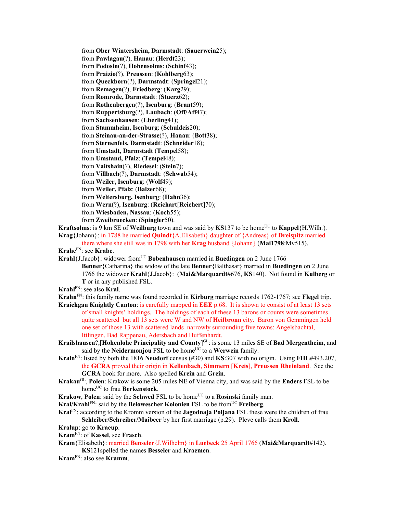from **Ober Wintersheim, Darmstadt**: (**Sauerwein**25); from **Pawlagau**(?), **Hanau**: (**Herdt**23); from **Podosin**(?), **Hohensolms**: (**Schinf**43); from **Praizio**(?), **Preussen**: (**Kohlberg**63); from **Queckborn**(?), **Darmstadt**: (**Springel**21); from **Remagen**(?), **Friedberg**: (**Karg**29); from **Romrode, Darmstadt**: (**Stuerz**62); from **Rothenbergen**(?), **Isenburg**: (**Brant**59); from **Ruppertsburg**(?), **Laubach**: (**Off/Aff**47); from **Sachsenhausen**: (**Eberling**41); from **Stammheim, Isenburg**: (**Schuldeis**20); from **Steinau-an-der-Strasse**(?), **Hanau**: (**Bott**38); from **Sternenfels, Darmstadt**: (**Schneider**18); from **Umstadt, Darmstadt** (**Tempel**58); from **Umstand, Pfalz**: (**Tempel**48); from **Vaitshain**(?), **Riedesel**: (**Stein**7); from **Villbach**(?), **Darmstadt**: (**Schwab**54); from **Weiler, Isenburg**: (**Wolf**49); from **Weiler, Pfalz**: (**Balzer**68); from **Weltersburg, Isenburg**: (**Hahn**36); from **Wern**(?), **Isenburg**: (**Reichart**[**Reichert**]70); from **Wiesbaden, Nassau**: (**Koch**55); from **Zweibruecken**: (**Spingler**50).

- **Kraftsolms**: is 9 km SE of **Weilburg** town and was said by **KS**137 to be home<sup>UC</sup> to **Kappel**{H.Wilh.}. **Krag**{Johann}: in 1788 he married **Quindt**{A.Elisabeth} daughter of {Andreas} of **Dreispitz** married
- there where she still was in 1798 with her **Krag** husband {Johann} (**Mai1798**:Mv515). **Krahe**FN: see **Krabe**.
- **Krahl**{J.Jacob}: widower from<sup>UC</sup> **Bobenhausen** married in **Buedingen** on 2 June 1766 **Benner**{Catharina} the widow of the late **Benner**{Balthasar} married in **Buedingen** on 2 June 1766 the widower **Krahl**{J.Jacob}: (**Mai&Marquardt**#676, **KS**140). Not found in **Kulberg** or **T** or in any published FSL.

**Krahl**FN: see also **Kral**.

**Krahn**FN: this family name was found recorded in **Kirburg** marriage records 1762-1767; see **Flegel** trip.

- **Kraichgau Knightly Canton**: is carefully mapped in **EEE** p.68. It is shown to consist of at least 13 sets of small knights' holdings. The holdings of each of these 13 barons or counts were sometimes quite scattered but all 13 sets were W and NW of **Heilbronn** city. Baron von Gemmingen held one set of those 13 with scattered lands narrowly surrounding five towns: Angelsbachtal, Ittlingen, Bad Rappenau, Adersbach and Huffenhardt.
- **Krailshausen**?,[**Hohenlohe Principality and County**] GL: is some 13 miles SE of **Bad Mergentheim**, and said by the **Neidermoniou**  $\overrightarrow{FSL}$  to be home<sup> $\overrightarrow{UC}$ </sup> to a **Werwein** family.
- **Krain**FN: listed by both the 1816 **Neudorf** census (#30) and **KS**:307 with no origin. Using **FHL**#493,207, the **GCRA** proved their origin in **Kellenbach**, **Simmern** [**Kreis**], **Preussen Rheinland**. See the **GCRA** book for more. Also spelled **Krein** and **Grein**.
- **Krakau**GL, **Polen**: Krakow is some 205 miles NE of Vienna city, and was said by the **Enders** FSL to be homeUC to frau **Berkenstock**.
- **Krakow, Polen:** said by the **Schwed** FSL to be home<sup>UC</sup> to a **Rosinski** family man.
- **Kral/Krahl**FN: said by the **Belowescher Kolonien** FSL to be fromUC **Freiberg**.
- **Kral**FN: according to the Kromm version of the **Jagodnaja Poljana** FSL these were the children of frau **Schleiber/Schreiber/Maibeer** by her first marriage (p.29). Pleve calls them **Kroll**.
- **Kralup**: go to **Kraeup**.
- **Kram**FN: of **Kassel**, see **Frasch**.
- **Kram**{Elisabeth}: married **Benseler**{J.Wilhelm} in **Luebeck** 25 April 1766 (**Mai&Marquardt**#142). **KS**121spelled the names **Besseler** and **Kraemen**.
- **Kram**FN: also see **Kramm**.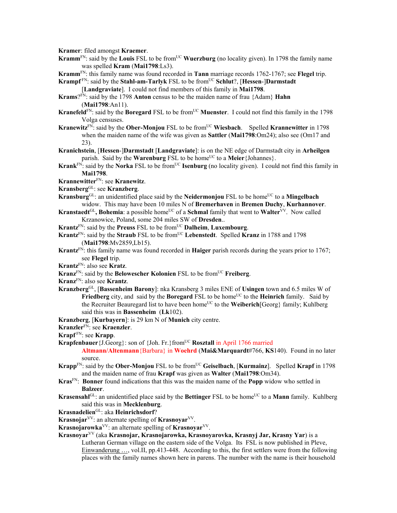**Kramer**: filed amongst **Kraemer**.

- **Kramm**<sup>FN</sup>: said by the **Louis** FSL to be from<sup>UC</sup> Wuerzburg (no locality given). In 1798 the family name was spelled **Kram** (**Mai1798**:Ls3).
- **Kramm**FN: this family name was found recorded in **Tann** marriage records 1762-1767; see **Flegel** trip.

**Krampf**  $FN$ : said by the **Stahl-am-Tarlyk** FSL to be from <sup>UC</sup> **Schlut**?, [Hessen-]Darmstadt

[**Landgraviate**]. I could not find members of this family in **Mai1798**.

**Krams**?FN: said by the 1798 **Anton** census to be the maiden name of frau {Adam} **Hahn** (**Mai1798**:An11).

- **Kranefeld**<sup>FN</sup>: said by the **Boregard** FSL to be from<sup>UC</sup> **Muenster**. I could not find this family in the 1798 Volga censuses.
- **Kranewitz**<sup>FN</sup>: said by the **Ober-Monjou** FSL to be from<sup>UC</sup> Wiesbach. Spelled **Krannewitter** in 1798 when the maiden name of the wife was given as **Sattler** (**Mai1798**:Om24); also see (Om17 and 23).
- **Kranichstein**, [**Hessen**-]**Darmstadt** [**Landgraviate**]: is on the NE edge of Darmstadt city in **Arheilgen** parish. Said by the **Warenburg** FSL to be home<sup>UC</sup> to a **Meier** {Johannes}.
- **Krank**<sup>FN:</sup> said by the **Norka** FSL to be from<sup>UC</sup> **Isenburg** (no locality given). I could not find this family in **Mai1798**.
- **Krannewitter**FN: see **Kranewitz**.

**Kransberg**GL: see **Kranzberg**.

- **Kransburg**<sup>GL</sup>: an unidentified place said by the **Neidermonjou** FSL to be home<sup>UC</sup> to a **Mingelbach** widow. This may have been 10 miles N of **Bremerhaven** in **Bremen Duchy**, **Kurhannover**.
- **Kranstaedt**<sup>GL</sup>, **Bohemia**: a possible home<sup>UC</sup> of a **Schmal** family that went to **Walter**<sup>VV</sup>. Now called Krzanowice, Poland, some 204 miles SW of **Dresden**..
- **Krantz**FN: said by the **Preuss** FSL to be fromUC **Dalheim**, **Luxembourg**.
- **Krantz**<sup>FN</sup>: said by the **Straub** FSL to be from<sup>UC</sup> Lebenstedt. Spelled **Kranz** in 1788 and 1798 (**Mai1798**:Mv2859,Lb15).
- **Krantz**FN: this family name was found recorded in **Haiger** parish records during the years prior to 1767; see **Flegel** trip.
- **Krantz**FN: also see **Kratz**.
- **Kranz**<sup>FN</sup>: said by the **Belowescher Kolonien** FSL to be from<sup>UC</sup> **Freiberg**.
- **Kranz**FN: also see **Krantz**.
- **Kranzberg**GL, [**Bassenheim Barony**]: nka Kransberg 3 miles ENE of **Usingen** town and 6.5 miles W of **Friedberg** city, and said by the **Boregard** FSL to be home<sup>UC</sup> to the **Heinrich** family. Said by the Recruiter Beauregard list to have been homeUC to the **Weiberich**[Georg} family; Kuhlberg said this was in **Bassenheim** (**Lk**102).
- **Kranzberg**, [**Kurbayern**]: is 29 km N of **Munich** city centre.
- **Kranzler**FN: see **Kraenzler**.
- **Krapf** FN: see **Krapp**.
- **Krapfenbauer** {J.Georg}: son of {Joh. Fr. } from<sup>UC</sup> **Rosztall** in April 1766 married
	- **Altmann/Altenmann**{Barbara} in **Woehrd** (**Mai&Marquardt**#766, **KS**140). Found in no later source.
- **Krapp**<sup>FN</sup>: said by the **Ober-Monjou** FSL to be from<sup>UC</sup> Geiselbach, [Kurmainz]. Spelled Krapf in 1798 and the maiden name of frau **Krapf** was given as **Walter** (**Mai1798**:Om34).
- **Kras**FN: **Bonner** found indications that this was the maiden name of the **Popp** widow who settled in **Balzeer**.
- **Krasensahl**<sup>GL</sup>: an unidentified place said by the **Bettinger** FSL to be home<sup>UC</sup> to a **Mann** family. Kuhlberg said this was in **Mecklenburg**.
- **Krasnadelien**GL: aka **Heinrichsdorf**?
- **Krasnojar**<sup>VV</sup>: an alternate spelling of **Krasnoyar**<sup>VV</sup>.
- **Krasnojarowka**<sup>VV</sup>: an alternate spelling of **Krasnoyar**<sup>VV</sup>.
- **Krasnoyar**VV (aka **Krasnojar, Krasnojarowka, Krasnoyarovka, Krasnyj Jar, Krasny Yar**) is a
	- Lutheran German village on the eastern side of the Volga. Its FSL is now published in Pleve, Einwanderung …, vol.II, pp.413-448. According to this, the first settlers were from the following places with the family names shown here in parens. The number with the name is their household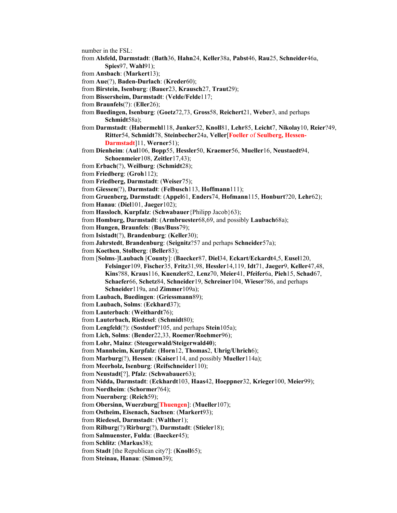- number in the FSL:
- from **Alsfeld, Darmstadt**: (**Bath**36, **Hahn**24, **Keller**38a, **Pabst**46, **Rau**25, **Schneider**46a, **Spies**97, **Wahl**91);
- from **Ansbach**: (**Markert**13);
- from **Aue**(?), **Baden-Durlach**: (**Kreder**60);
- from **Birstein, Isenburg**: (**Bauer**23, **Krausch**27, **Traut**29);
- from **Bissersheim, Darmstadt**: (**Velde/Felde**117;
- from **Braunfels**(?): (**Eller**26);
- from **Buedingen, Isenburg**: (**Goetz**72,73, **Gross**58, **Reichert**21, **Weber**3, and perhaps **Schmidt**58a);
- from **Darmstadt**: (**Habermehl**118, **Junker**52, **Knoll**81, **Lehr**85, **Leicht**7, **Nikolay**10, **Reier**?49, **Ritter**54, **Schmidt**78, **Steinbecher**24a, **Veller**[**Foeller** of **Seulberg, Hessen-Darmstadt**]11, **Werner**51);
- from **Dienheim**: (**Aul**106, **Bopp**55, **Hessler**50, **Kraemer**56, **Mueller**16, **Neustaedt**94, **Schoenmeier**108, **Zeitler**17,43);
- from **Erbach**(?), **Weilburg**: (**Schmidt**28);
- from **Friedberg**: (**Groh**112);
- from **Friedberg, Darmstadt**: (**Weiser**75);
- from **Giessen**(?), **Darmstadt**: (**Felbusch**113, **Hoffmann**111);
- from **Gruenberg, Darmstadt**: (**Appel**61, **Enders**74, **Hofmann**115, **Honburt**?20, **Lehr**62);
- from **Hanau**: (**Diel**101, **Jaeger**102);
- from **Hassloch**, **Kurpfalz**: (**Schwabauer**{Philipp Jacob}63);
- from **Homburg, Darmstadt**: (**Armbruester**68,69, and possibly **Laubach**68a);
- from **Hungen, Braunfels**: (**Bus/Buss**79);
- from **Isistadt**(?), **Brandenburg**: (**Keller**30);
- from **Jahrstedt**, **Brandenburg**: (**Seignitz**?57 and perhaps **Schneider**57a);
- from **Koethen**, **Stolberg**: (**Beller**83);
- from [**Solms**-]**Laubach** [**County**]: (**Baecker**87, **Diel**34, **Eckart/Eckardt**4,5, **Eusel**120, **Felsinger**109, **Fischer**35, **Fritz**31,98, **Hessler**14,119, **Idt**71, **Jaeger**9, **Keller**47,48, **Kins**?88, **Kraus**116, **Kuenzler**82, **Lenz**70, **Meier**41, **Pfeifer**6a, **Pieh**15, **Schad**67, **Schaefer**66, **Schetz**84, **Schneider**19, **Schreiner**104, **Wieser**?86, and perhaps **Schneider**119a, and **Zimmer**109a);
- from **Laubach, Buedingen**: (**Griessmann**89);
- from **Laubach, Solms**: (**Eckhard**37);
- from **Lauterbach**: (**Weithardt**76);
- from **Lauterbach, Riedesel**: (**Schmidt**80);
- from **Lengfeld**(?): (**Sostdorf**?105, and perhaps **Stein**105a);
- from **Lich, Solms**: (**Bender**22,33, **Roemer/Roehmer**96);
- from **Lohr, Mainz**: (**Steugerwald/Steigerwald40**);
- from **Mannheim, Kurpfalz**: (**Horn**12, **Thomas**2, **Uhrig/Uhrich**6);
- from **Marburg**(?), **Hessen**: (**Kaiser**114, and possibly **Mueller**114a);
- from **Meerholz, Isenburg**: (**Reifschneider**110);
- from **Neustadt**[?], **Pfalz**: (**Schwabauer**63);
- from **Nidda, Darmstadt**: (**Eckhardt**103, **Haas**42, **Hoeppner**32, **Krieger**100, **Meier**99);
- from **Nordheim**: (**Schormer**?64);
- from **Nuernberg**: (**Reich**59);
- from **Obersinn, Wuerzburg**[**Thuengen**]: (**Mueller**107);
- from **Ostheim, Eisenach, Sachsen**: (**Markert**93);
- from **Riedesel, Darmstadt**: (**Walther**1);
- from **Rilburg**(?)/**Rirburg**(?), **Darmstadt**: (**Stieler**18);
- from **Salmuenster, Fulda**: (**Baecker**45);
- from **Schlitz**: (**Markus**38);
- from **Stadt** [the Republican city?]: (**Knoll**65);
- from **Steinau, Hanau**: (**Simon**39);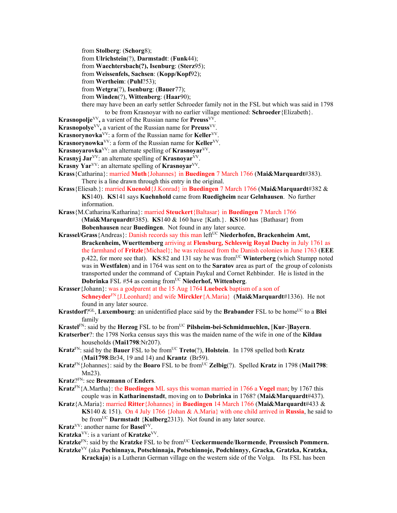from **Stolberg**: (**Schorg**8);

from **Ulrichstein**(?), **Darmstadt**: (**Funk**44);

from **Waechtersbach(?), Isenburg**: (**Sterz**95);

from **Weissenfels, Sachsen**: (**Kopp/Kopf**92);

from **Wertheim**: (**Puhl**?53);

from **Wetgra**(?), **Isenburg**: (**Bauer**77);

from **Winden**(?), **Wittenberg**: (**Haar**90);

there may have been an early settler Schroeder family not in the FSL but which was said in 1798 to be from Krasnoyar with no earlier village mentioned: **Schroeder**{Elizabeth}.

- **Krasnopolje**VV**,** a varient of the Russian name for **Preuss**VV.
- **Krasnopolye**VV**,** a varient of the Russian name for **Preuss**VV.
- **Krasnorynovka**<sup>VV</sup>: a form of the Russian name for **Keller**<sup>VV</sup>.
- **Krasnorynowka**<sup>VV</sup>: a form of the Russian name for **Keller**<sup>VV</sup>.
- **Krasnoyarovka**VV: an alternate spelling of **Krasnoyar**VV.
- **Krasnyj Jar**<sup>VV</sup>: an alternate spelling of **Krasnovar**<sup>VV</sup>.
- **Krasny Yar**<sup>VV</sup>: an alternate spelling of **Krasnovar**<sup>VV</sup>.
- **Krass**{Catharina}: married **Muth**{Johannes} in **Buedingen** 7 March 1766 (**Mai&Marquardt**#383). There is a line drawn through this entry in the original.
- **Krass**{Eliesab.}: married **Kuenold**{J.Konrad} in **Buedingen** 7 March 1766 (**Mai&Marquardt**#382 & **KS**140). **KS**141 says **Kuehnhold** came from **Ruedigheim** near **Gelnhausen**. No further information.
- **Krass**{M.Catharina/Katharina}: married **Steuckert**{Baltasar} in **Buedingen** 7 March 1766 (**Mai&Marquardt**#385). **KS**140 & 160 have {Kath.}. **KS**160 has {Bathasar} from **Bobenhausen** near **Buedingen**. Not found in any later source.
- Krassel/Grass {Andreas}: Danish records say this man left<sup>UC</sup> Niederhofen, Brackenheim Amt, **Brackenheim, Wuerttemberg** arriving at **Flensburg, Schleswig Royal Duchy** in July 1761 as the farmhand of **Fritzle**{Michael}; he was released from the Danish colonies in June 1763 (**EEE** p.422, for more see that). **KS**:82 and 131 say he was fromUC **Winterberg** (which Stumpp noted was in **Westfalen**) and in 1764 was sent on to the **Saratov** area as part of the group of colonists transported under the command of Captain Paykul and Cornet Rehbinder. He is listed in the **Dobrinka** FSL #54 as coming fromUC **Niederhof, Wittenberg**.

## **Krasser**{Johann}: was a godparent at the 15 Aug 1764 **Luebeck** baptism of a son of

**Schneyder**FN{J.Leonhard} and wife **Mirckler**{A.Maria} (**Mai&Marquardt**#1336). He not found in any later source.

- **Krastdorf**?<sup>GL</sup>, **Luxembourg**: an unidentified place said by the **Brabander** FSL to be home<sup>UC</sup> to a **Blei** family
- **Krastel**FN: said by the **Herzog** FSL to be fromUC **Pilsheim-bei-Schmidmuehlen,** [**Kur**-]**Bayern**.
- **Kratserber**?: the 1798 Norka census says this was the maiden name of the wife in one of the **Kildau** households (**Mai1798**:Nr207).
- **Kratz**FN: said by the **Bauer** FSL to be fromUC **Treto**(?), **Holstein**. In 1798 spelled both **Kratz** (**Mai1798**:Br34, 19 and 14) and **Krantz** (Br59).
- **Kratz**<sup>FN</sup>{Johannes}: said by the **Boaro** FSL to be from<sup>UC</sup> **Zelbig**(?). Spelled **Kratz** in 1798 (**Mai1798**: Mn23).
- **Kratz**?FN: see **Brozmann** of **Enders**.
- **Kratz**FN{A.Martha}: the **Buedingen** ML says this woman married in 1766 a **Vogel** man; by 1767 this couple was in **Katharinenstadt**, moving on to **Dobrinka** in 1768? (**Mai&Marquardt**#437).
- **Kratz**{A.Maria}: married **Ritter**{Johannes} in **Buedingen** 14 March 1766 (**Mai&Marquardt**#433 & **KS**140 & 151). On 4 July 1766 {Johan & A.Maria} with one child arrived in **Russia**, he said to be fromUC **Darmstadt** {**Kulberg**2313). Not found in any later source.

**Kratz**<sup>VV</sup>: another name for **Basel**<sup>VV</sup>.

- **Kratzka**VV: is a variant of **Kratzke**VV.
- **Kratzke**<sup>FN</sup>: said by the **Kratzke** FSL to be from<sup>UC</sup> **Ueckermuende/Ikormende, Preussisch Pommern.**
- **Kratzke**VV (aka **Pochinnaya, Potschinnaja, Potschinnoje, Podchinnyy, Gracka, Gratzka, Kratzka, Krackaja**) is a Lutheran German village on the western side of the Volga. Its FSL has been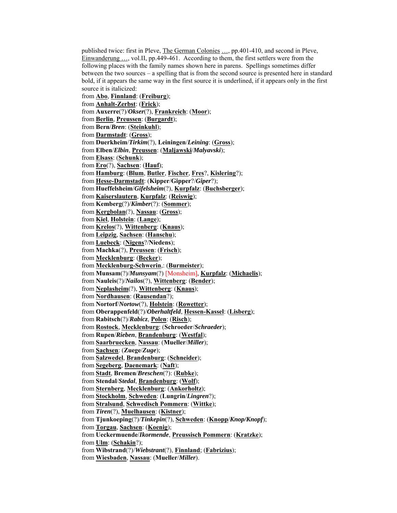published twice: first in Pleve, The German Colonies …, pp.401-410, and second in Pleve, Einwanderung …, vol.II, pp.449-461. According to them, the first settlers were from the following places with the family names shown here in parens. Spellings sometimes differ between the two sources – a spelling that is from the second source is presented here in standard bold, if it appears the same way in the first source it is underlined, if it appears only in the first source it is italicized:

from **Abo**, **Finnland**: (**Freiburg**); from **Anhalt-Zerbst**: (**Frick**); from **Auxerre**(?)/*Okser*(?), **Frankreich**: (**Moor**); from **Berlin**, **Preussen**: (**Burgardt**); from **Bern**/*Bren*: (**Steinkuhl**); from **Darmstadt**: (**Gross**); from **Duerkheim**/*Tirkim*(?), **Leiningen**/*Leining*: (**Gross**); from **Elben**/*Elbin*, **Preussen**: (**Maljawski**/*Malyavski*); from **Elsass**: (**Schunk**); from **Ero**(?), **Sachsen**: (**Hauf**); from **Hamburg**: (**Blum**, **Butler**, **Fischer**, **Fres**?, **Kislering**?); from **Hesse-Darmstadt**: (**Kipper**/**Gipper**?/*Giper*?); from **Hueffelsheim**/*Gifelsheim*(?), **Kurpfalz**: (**Buchsberger**); from **Kaiserslautern**, **Kurpfalz**: (**Reiswig**); from **Kemberg**(?)/*Kimber*(?): (**Sommer**); from **Kergbolan**(?), **Nassau**: (**Gross**); from **Kiel**, **Holstein**: (**Lange**); from **Krelos**(?), **Wittenberg**: (**Knaus**); from **Leipzig**, **Sachsen**: (**Hanschu**); from **Luebeck**: (**Nigens**?/**Niedens**); from **Machka**(?), **Preussen**: (**Frisch**); from **Mecklenburg**: (**Becker**); from **Mecklenburg-Schwerin**,: (**Burmeister**); from **Munsam**(?)/*Munsyam*(?) [Monsheim], **Kurpfalz**: (**Michaelis**); from **Nauleis**(?)/*Nailos*(?), **Wittenberg**: (**Bender**); from **Neplasheim**(?), **Wittenberg**: (**Knaus**); from **Nordhausen**: (**Rausendan**?); from **Nortorf**/*Nortow*(?), **Holstein**: (**Rowetter**); from **Oberappenfeld**(?)/*Oberhaltfeld*, **Hessen-Kassel**: (**Lisberg**); from **Rabitsch**(?)/*Rabicz*, **Polen**: (**Risch**); from **Rostock**, **Mecklenburg**: (**Schroeder**/*Schraeder*); from **Rupen**/*Rieben*, **Brandenburg**: (**Westfal**); from **Saarbruecken**, **Nassau**: (**Mueller**/*Miller*); from **Sachsen**: (**Zuege**/*Zuge*); from **Salzwedel**, **Brandenburg**: (**Schneider**); from **Segeberg**, **Daenemark**: (**Naft**); from **Stadt**, **Bremen**/*Breschen*(?): (**Rubke**); from **Stendal**/*Stedal*, **Brandenburg**: (**Wolf**); from **Sternberg**, **Mecklenburg**: (**Ankorholtz**); from **Stockholm**, **Schweden**: (**Lungrin**/*Lingren*?); from **Stralsund**, **Schwedisch Pommern**: (**Wittke**); from *Tiren*(?), **Muelhausen**: (**Kistner**); from **Tjunkoeping**(?)/*Tinkepin*(?), **Schweden**: (**Knopp**/*Knop/Knopf*); from **Torgau**, **Sachsen**: (**Koenig**); from **Ueckermuende**/*Ikormende*, **Preussisch Pommern**: (**Kratzke**); from **Ulm**: (**Schakin**?); from **Wibstrand**(?)/*Wiebstrant*(?), **Finnland**; (**Fabrizius**);

from **Wiesbaden**, **Nassau**: (**Mueller**/*Miller*).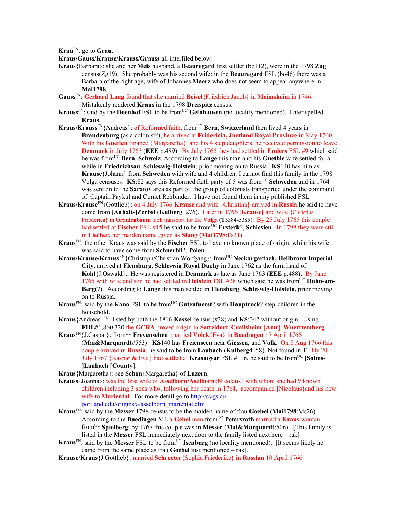**Krau**FN: go to **Grau**.

**Kraus/Gauss/Krause/Krauss/Grauss** all interfiled below:

- **Kraus**{Barbara}: she and her **Meis** husband, a **Beauregard** first settler (bo112), were in the 1798 **Zug** census(Zg19). She probably was his second wife: in the **Beauregard** FSL (bo46) there was a Barbara of the right age, wife of Johannes **Maerz** who does not seem to appear anywhere in **Mai1798**.
- **Gauss**FN: **Gerhard Lang** found that she married **Beisel**{Friedrich Jacob} in **Meimsheim** in 1746. Mistakenly rendered **Kraus** in the 1798 **Dreispitz** census.
- **Krauss**<sup>FN</sup>: said by the **Doenhof** FSL to be from<sup>UC</sup> Gelnhausen (no locality mentioned). Later spelled **Kraus**.
- **Kraus/Krauss**FN{Andreas}: of Reformed faith, fromUC **Bern, Switzerland** then lived 4 years in **Brandenburg** (as a colonist?), he arrived at **Fridericia, Juetland Royal Province** in May 1760. With his **Guetlen** financè {Margaretha} and his 4 step daughters, he received permission to leave **Denmark** in July 1763 (**EEE** p.489). By July 1765 they had settled in **Enders** FSL #9 which said he was fromUC **Bern**, **Schweiz**. According to **Lange** this man and his **Guethle** wife settled for a while in **Friedrichsau**, **Schleswig-Holstein**, prior moving on to Russia. **KS**140 has him as **Krause**{Johann} from **Schweden** with wife and 4 children. I cannot find this family in the 1798 Volga censuses. **KS**:82 says this Reformed faith party of 5 was from<sup>UC</sup> Schweden and in 1764 was sent on to the **Saratov** area as part of the group of colonists transported under the command of Captain Paykul and Cornet Rehbinder. I have not found them in any published FSL.
- **Kraus/Krause**FN{Gottlieb}: on 4 July 1766 **Krause** and wife {Christina} arrived in **Russia** he said to have come from [**Anhalt-**]**Zerbst** (**Kulberg**1276). Later in 1766 [**Krause]** and wife {Christina Friederica} in **Oranienbaum** took transport for the **Volga (T**5384-5385). By 25 July 1765 this couple had settled at **Fischer** FSL #15 he said to be from<sup>UC</sup> Ersterk?, Schlesien. In 1798 they were still in **Fischer,** her maiden name given as **Stang (Mai1798**:Fs21).
- **Kraus**FN: the other Kraus was said by the **Fischer** FSL to have no known place of origin; while his wife was said to have come from **Schnerbil**?, **Polen**.
- **Kraus/Krause/Krauss**FN{Christoph/Christian Wolfgang}: fromUC **Neckargartach, Heilbronn Imperial City**, arrived at **Flensburg, Schleswig Royal Duchy** in June 1762 as the farm hand of **Kohl**{J.Oswald}. He was registered in **Denmark** as late as June 1763 (**EEE** p.488). By June 1765 with wife and son he had settled in **Holstein** FSL #28 which said he was from<sup>UC</sup> **Hohn-am-Berg**(?). According to **Lange** this man settled in **Flensburg**, **Schleswig-Holstein**, prior moving on to Russia.
- **Kraus**<sup>FN</sup>: said by the **Kano** FSL to be from<sup>UC</sup> Gutenfuerst? with **Hauptrock**? step-children in the household.
- **Kraus**{Andreas}<sup>FN</sup>: listed by both the 1816 **Kassel** census (#38) and **KS**:342 without origin. Using **FHL**#1,860,320 the **GCRA** proved origin in **Satteldorf**, **Crailsheim** [**Amt**], **Wuerttemberg**.
- **Kraus**FN{J.Caspar}: fromUC **Freyensehen** married **Volck**{Eva} in **Buedingen** 17 April 1766 (**Mai&Marquardt**#553). **KS**140 has **Freienseen** near **Giessen,** and **Volk**. On 8 Aug 1766 this couple arrived in **Russia**, he said to be from **Laubach** (**Kulberg**4158). Not found in **T**.By 20 July 1767 {Kaspar & Eva} had settled at **Krasnoyar** FSL #116, he said to be fromUC [**Solms-** ]**Laubach** [**County**].
- **Kraus**{Margaretha}: see **Schon**{Margaretha} of **Luzern**.
- **Krauss**{Joanna}: was the first wife of **Asselborn/Aselborn**{Nicolaus} with whom she had 9 known children including 3 sons who, following her death in 1764, accompanied [Nicolaus}and his new wife to **Mariental**. For more detail go to http://cvgs.cuportland.edu/origins/a/asselborn\_mariental.cfm
- **Kraus**FN: said by the **Messer** 1798 census to be the maiden name of frau **Goebel** (**Mai1798**:Ms26). According to the **Buedingen** ML a **Gebel** man fromUC **Petersroth** married a **Kraus** woman fromUC **Spielberg**; by 1767 this couple was in **Messer** (**Mai&Marquardt**:506). [This family is listed in the **Messer** FSL immediately next door to the family listed next here – rak]
- **Kraus**<sup>FN</sup>: said by the **Messer** FSL to be from<sup>UC</sup> **Isenburg** (no locality mentioned). [It seems likely he came from the same place as frau **Goebel** just mentioned – rak].
- **Krause/Kraus**{J.Gottlieb}: married **Schroeter**{Sophia Friederike} in **Rosslau** 10 April 1766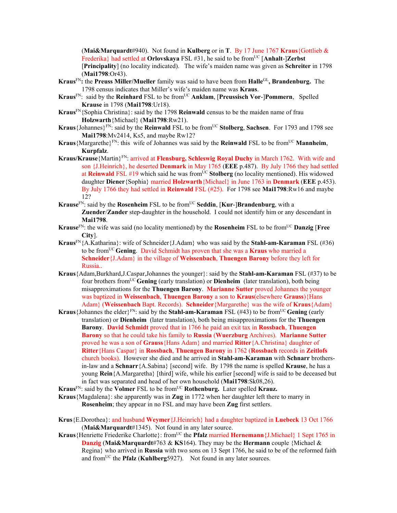(**Mai&Marquardt**#940). Not found in **Kulberg** or in **T**. By 17 June 1767 **Kraus**{Gottlieb & Frederika} had settled at Orlovskaya FSL #31, he said to be from<sup>UC</sup> [Anhalt-]Zerbst [**Principality**] (no locality indicated). The wife's maiden name was given as **Schreiter** in 1798 (**Mai1798**:Or43).

- **Kraus**FN**:** the **Preuss Miller/Mueller** family was said to have been from **Halle**GL**, Brandenburg.** The 1798 census indicates that Miller's wife's maiden name was **Kraus**.
- **Kraus**FN: said by the **Reinhard** FSL to be fromUC **Anklam**, [**Preussisch Vor**-]**Pommern**, Spelled **Krause** in 1798 (**Mai1798**:Ur18).
- **Kraus**FN{Sophia Christina}: said by the 1798 **Reinwald** census to be the maiden name of frau **Holzwarth**{Michael} (**Mai1798**:Rw21).
- Kraus {Johannes}<sup>FN</sup>: said by the **Reinwald** FSL to be from<sup>UC</sup> Stolberg, Sachsen. For 1793 and 1798 see **Mai1798**:Mv2414, Ks5, and maybe Rw12?
- **Kraus**{Margarethe}<sup>FN</sup>: this wife of Johannes was said by the **Reinwald** FSL to be from<sup>UC</sup> **Mannheim**, **Kurpfalz**.
- **Kraus/Krause**{Martin}FN: arrived at **Flensburg, Schleswig Royal Duchy** in March 1762. With wife and son {J.Heinrich}, he deserted **Denmark** in May 1765 (**EEE** p.487). By July 1766 they had settled at Reinwald FSL #19 which said he was from<sup>UC</sup> Stolberg (no locality mentioned). His widowed daughter **Diener**{Sophia} married **Holzwarth**{Michael} in June 1763 in **Denmark** (**EEE** p.453). By July 1766 they had settled in **Reinwald** FSL (#25). For 1798 see **Mai1798**:Rw16 and maybe 12?
- **Krause**<sup>FN</sup>: said by the **Rosenheim** FSL to be from<sup>UC</sup> Seddin, [Kur-]Brandenburg, with a **Zuender**/**Zander** step-daughter in the household. I could not identify him or any descendant in **Mai1798**.
- **Krause**<sup>FN</sup>: the wife was said (no locality mentioned) by the **Rosenheim** FSL to be from<sup>UC</sup> **Danzig** [Free **City**].
- **Kraus**FN{A.Katharina}: wife of Schneider{J.Adam} who was said by the **Stahl-am-Karaman** FSL (#36) to be fromUC **Gening**. David Schmidt has proven that she was a **Kraus** who married a **Schneider**{J.Adam} in the village of **Weissenbach**, **Thuengen Barony** before they left for Russia..
- **Kraus**{Adam,Burkhard,J.Caspar,Johannes the younger}: said by the **Stahl-am-Karaman** FSL (#37) to be four brothers fromUC **Gening** (early translation) or **Dienheim** (later translation), both being misapproximations for the **Thuengen Barony**. **Marianne Sutter** proved Johannes the younger was baptized in **Weissenbach**, **Thuengen Barony** a son to **Kraus**(elsewhere **Grauss**){Hans Adam} (**Weissenbach** Bapt. Records). **Schneider**{Margarethe} was the wife of **Kraus**{Adam}
- **Kraus** {Johannes the elder  $E^N$ : said by the **Stahl-am-Karaman** FSL (#43) to be from <sup>UC</sup> **Gening** (early translation) or **Dienheim** (later translation), both being misapproximations for the **Thuengen Barony**. **David Schmidt** proved that in 1766 he paid an exit tax in **Rossbach**, **Thuengen Barony** so that he could take his family to **Russia** (**Wuerzburg** Archives). **Marianne Sutter** proved he was a son of **Grauss**{Hans Adam} and married **Ritter**{A.Christina} daughter of **Ritter**{Hans Caspar} in **Rossbach**, **Thuengen Barony** in 1762 (**Rossbach** records in **Zeitlofs** church books). However she died and he arrived in **Stahl-am-Karaman** with **Schnarr** brothersin-law and a **Schnarr**{A.Sabina} [second] wife. By 1798 the name is spelled **Krause**, he has a young **Rein**{A.Margaretha} [third] wife, while his earlier [second] wife is said to be deceased but in fact was separated and head of her own household (**Mai1798**:Sk08,26).
- **Kraus**<sup>FN</sup>: said by the **Volmer** FSL to be from<sup>UC</sup> **Rothenburg.** Later spelled **Krauz.**
- **Kraus**{Magdalena}: she apparently was in **Zug** in 1772 when her daughter left there to marry in **Rosenheim**; they appear in no FSL and may have been **Zug** first settlers.
- **Krus**{E.Dorothea}: and husband **Weymer**{J.Heinrich} had a daughter baptized in **Luebeck** 13 Oct 1766 (**Mai&Marquardt**#1345). Not found in any later source.
- Kraus {Henriette Friederike Charlotte}: from<sup>UC</sup> the **Pfalz married Hernemann** {J.Michael} 1 Sept 1765 in **Danzig** (**Mai&Marquardt**#763 & **KS**164). They may be the **Hermann** couple {Michael & Regina} who arrived in **Russia** with two sons on 13 Sept 1766, he said to be of the reformed faith and from<sup>UC</sup> the **Pfalz** (**Kuhlberg**5927). Not found in any later sources.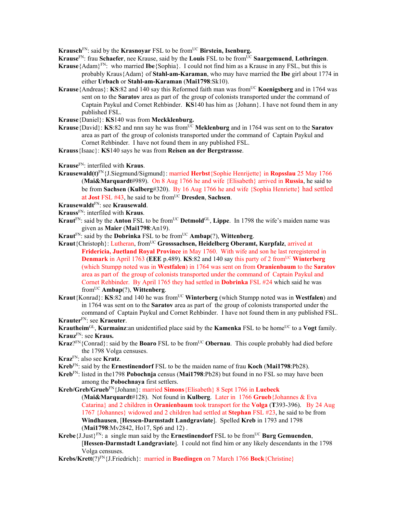**Krausch**<sup>FN</sup>: said by the **Krasnoyar** FSL to be from<sup>UC</sup> Birstein, Isenburg.

- **Krause**<sup>FN</sup>: frau **Schaefer**, nee Krause, said by the **Louis** FSL to be from<sup>UC</sup> Saargemuend, Lothringen.
- **Krause**{Adam}FN: who married **Ibe**{Sophia}. I could not find him as a Krause in any FSL, but this is probably Kraus{Adam} of **Stahl-am-Karaman**, who may have married the **Ibe** girl about 1774 in either **Urbach** or **Stahl-am-Karaman** (**Mai1798**:Sk10).
- **Krause**{Andreas}: **KS**:82 and 140 say this Reformed faith man was from<sup>UC</sup> **Koenigsberg** and in 1764 was sent on to the **Saratov** area as part of the group of colonists transported under the command of Captain Paykul and Cornet Rehbinder. **KS**140 has him as {Johann}. I have not found them in any published FSL.
- **Krause**{Daniel}: **KS**140 was from **Meckklenburg.**
- **Krause**{David}: **KS**:82 and nnn say he was from<sup>UC</sup> Meklenburg and in 1764 was sent on to the **Saratov** area as part of the group of colonists transported under the command of Captain Paykul and Cornet Rehbinder. I have not found them in any published FSL.
- **Krauss**{Isaac}: **KS**140 says he was from **Reisen an der Bergstrassse**.
- **Krause**FN: interfiled with **Kraus**.
- **Krausewald(t)**FN{J.Siegmund/Sigmund}: married **Herbst**{Sophie Henrijette} in **Ropsslau** 25 May 1766 (**Mai&Marquardt**#989). On 8 Aug 1766 he and wife {Elisabeth} arrived in **Russia**, he said to be from **Sachsen** (**Kulberg**#320). By 16 Aug 1766 he and wife {Sophia Henriette} had settled at **Jost** FSL #43, he said to be fromUC **Dresden**, **Sachsen**.
- **Krausewaldt**FN: see **Krausewald**.
- **Krauss**FN: interfiled with **Kraus**.
- **Kraut**<sup>FN</sup>: said by the **Anton** FSL to be from<sup>UC</sup> Detmold<sup>GL</sup>, Lippe. In 1798 the wife's maiden name was given as **Maier** (**Mai1798**:An19).
- **Kraut**FN: said by the **Dobrinka** FSL to be fromUC **Ambap**(?), **Wittenberg**.
- **Kraut**{Christoph}: Lutheran, fromUC **Grosssachsen, Heidelberg Oberamt, Kurpfalz**, arrived at **Fridericia, Juetland Royal Province** in May 1760. With wife and son he last reregistered in **Denmark** in April 1763 (**EEE** p.489). **KS**:82 and 140 say this party of 2 from<sup>UC</sup> Winterberg (which Stumpp noted was in **Westfalen**) in 1764 was sent on from **Oranienbaum** to the **Saratov** area as part of the group of colonists transported under the command of Captain Paykul and Cornet Rehbinder. By April 1765 they had settled in **Dobrinka** FSL #24 which said he was fromUC **Ambap**(?), **Wittenberg**.
- **Kraut**{Konrad}: **KS**:82 and 140 he was fromUC **Winterberg** (which Stumpp noted was in **Westfalen**) and in 1764 was sent on to the **Saratov** area as part of the group of colonists transported under the command of Captain Paykul and Cornet Rehbinder. I have not found them in any published FSL. **Krauter**FN: see **Kraeuter**.

**Krautheim**<sup>GL</sup>, **Kurmainz**:an unidentified place said by the **Kamenka** FSL to be home<sup>UC</sup> to a **Vogt** family. **Krauz**FN: see **Kraus.** 

- **Kraz**?FN{Conrad}: said by the **Boaro** FSL to be from<sup>UC</sup> **Obernau**. This couple probably had died before the 1798 Volga censuses.
- **Kraz**FN: also see **Kratz**.
- **Kreb**FN: said by the **Ernestinendorf** FSL to be the maiden name of frau **Koch** (**Mai1798**:Pb28).
- **Kreb**FN: listed in the1798 **Pobochnja** census (**Mai1798**:Pb28) but found in no FSL so may have been among the **Pobochnaya** first settlers.
- **Kreb/Greb/Grueb**FN{Johann}: married **Simons**{Elisabeth} 8 Sept 1766 in **Luebeck**  (**Mai&Marquardt**#128). Not found in **Kulberg**. Later in 1766 **Grueb**{Johannes & Eva Catarina} and 2 children in **Oranienbaum** took transport for the **Volga** (**T**393-396). By 24 Aug 1767 {Johannes} widowed and 2 children had settled at **Stephan** FSL #23, he said to be from **Windhausen**, [**Hessen-Darmstadt Landgraviate**]. Spelled **Kreb** in 1793 and 1798 (**Mai1798**:Mv2842, Ho17, Sp6 and 12) .
- **Krebe** $\{J, Just\}$ <sup>FN</sup>: a single man said by the **Ernestinendorf** FSL to be from<sup>UC</sup> Burg Gemuenden, [**Hessen-Darmstadt Landgraviate**]. I could not find him or any likely descendants in the 1798 Volga censuses.
- **Krebs/Krett**(?)FN{J.Friedrich}: married in **Buedingen** on 7 March 1766 **Bock**{Christine}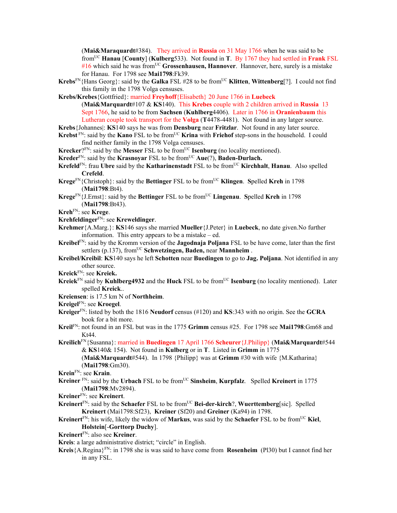(**Mai&Maraquardt**#384). They arrived in **Russia** on 31 May 1766 when he was said to be fromUC **Hanau** [**County**] (**Kulberg**533). Not found in **T**. By 1767 they had settled in **Frank** FSL #16 which said he was fromUC **Grossenhausen, Hannover**. Hannover, here, surely is a mistake for Hanau. For 1798 see **Mai1798**:Fk39.

**Krebs**<sup>FN</sup>{Hans Georg}: said by the **Galka** FSL #28 to be from<sup>UC</sup> **Klitten**, **Wittenberg**[?]. I could not find this family in the 1798 Volga censuses.

**Krebs/Krebes**{Gottfried}: married **Freyhoff**{Elisabeth} 20 June 1766 in **Luebeck**  (**Mai&Marquardt**#107 & **KS**140). This **Krebes** couple with 2 children arrived in **Russia** 13 Sept 1766, he said to be from **Sachsen** (**Kuhlberg**4406). Later in 1766 in **Oranienbaum** this Lutheran couple took transport for the **Volga** (**T**4478-4481). Not found in any latger source.

**Krebs**{Johannes|: **KS**140 says he was from **Densburg** near **Fritzlar**. Not found in any later source.

- **Krebst** FN: said by the **Kano** FSL to be from<sup>UC</sup> **Krina** with **Friehof** step-sons in the household. I could find neither family in the 1798 Volga censuses.
- **Krecker**?FN: said by the **Messer** FSL to be from<sup>UC</sup> **Isenburg** (no locality mentioned).
- **Kreder**<sup>FN</sup>: said by the **Krasnoyar** FSL to be from<sup>UC</sup> **Aue**(?), **Baden-Durlach.**
- **Krefeld**<sup>FN</sup>: frau Ubre said by the **Katharinenstadt** FSL to be from<sup>UC</sup> **Kirchhalt**, **Hanau**. Also spelled **Crefeld**.
- **Krege**FN{Christoph}: said by the **Bettinger** FSL to be fromUC **Klingen**. **S**pelled **Kreh** in 1798 (**Mai1798**:Bt4).
- **Krege**FN{J.Ernst}: said by the **Bettinger** FSL to be fromUC **Lingenau**. **S**pelled **Kreh** in 1798 (**Mai1798**:Bt43).

**Kreh**FN: see **Krege**.

- **Krehfeldinger**FN: see **Kreweldinger**.
- **Krehmer**{A.Marg.}: **KS**146 says she married **Mueller**{J.Peter} in **Luebeck**, no date given.No further information. This entry appears to be a mistake – ed.
- **Kreibel**FN: said by the Kromm version of the **Jagodnaja Poljana** FSL to be have come, later than the first settlers (p.137), from<sup>UC</sup> Schwetzingen, Baden, near Mannheim.
- **Kreibel/Kreibil**: **KS**140 says he left **Schotten** near **Buedingen** to go to **Jag. Poljana**. Not identified in any other source.

**Kreick**FN: see **Kreiek.** 

- **Kreiek**<sup>FN</sup> said by **Kuhlberg4932** and the **Huck** FSL to be from<sup>UC</sup> **Isenburg** (no locality mentioned). Later spelled **Kreick**..
- **Kreiensen**: is 17.5 km N of **Northheim**.
- **Kreigel**FN: see **Kroegel**.
- **Kreiger**FN: listed by both the 1816 **Neudorf** census (#120) and **KS**:343 with no origin. See the **GCRA** book for a bit more.
- **Kreil**FN: not found in an FSL but was in the 1775 **Grimm** census #25. For 1798 see **Mai1798**:Gm68 and Kt44.
- **Kreilich**FN{Susanna}: married in **Buedingen** 17 April 1766 **Scheurer**{J.Philipp} (**Mai&Marquardt**#544 & **KS**140& 154). Not found in **Kulberg** or in **T**. Listed in **Grimm** in 1775 (**Mai&Marquardt**#544). In 1798 {Philipp} was at **Grimm** #30 with wife {M.Katharina} (**Mai1798**:Gm30).

- **Kreiner** FN: said by the **Urbach** FSL to be from<sup>UC</sup> Sinsheim, **Kurpfalz**. Spelled **Kreinert** in 1775 (**Mai1798**:Mv2894).
- **Kreiner**FN: see **Kreinert**.
- **Kreinert**FN: said by the **Schaefer** FSL to be fromUC **Bei-der-kirch**?, **Wuerttemberg**[sic]. Spelled **Kreinert** (Mai1798:Sf23), **Kreiner** (Sf20) and **Greiner** (Ka94) in 1798.
- **Kreinert**FN: his wife, likely the widow of **Markus**, was said by the **Schaefer** FSL to be fromUC **Kiel**, **Holstein**[-**Gorttorp Duchy**].

## **Kreinert**FN: also see **Kreiner**.

**Kreis**: a large administrative district; "circle" in English.

**Kreis**{A.Regina}FN: in 1798 she is was said to have come from **Rosenheim** (Pl30) but I cannot find her in any FSL.

**Krein**FN: see **Krain**.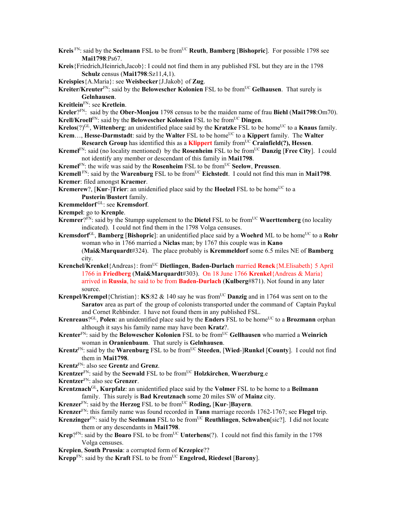- **Kreis**<sup>FN</sup>: said by the **Seelmann** FSL to be from<sup>UC</sup> **Reuth**, **Bamberg** [Bishopric]. For possible 1798 see **Mai1798**:Ps67.
- **Kreis**{Friedrich,Heinrich,Jacob}: I could not find them in any published FSL but they are in the 1798 **Schulz** census (**Mai1798**:Sz11,4,1).

**Kreispies**{A.Maria}: see **Weisbecker**{J.Jakob} of **Zug**.

**Kreiter/Kreuter**<sup>FN</sup>: said by the **Belowescher Kolonien** FSL to be from<sup>UC</sup> Gelhausen. That surely is **Gelnhausen**.

**Kreitlein**FN: see **Kretlein**.

**Kreler**?FN: said by the **Ober-Monjou** 1798 census to be the maiden name of frau **Biehl** (**Mai1798**:Om70). **Krell/Kroell**<sup>FN</sup>: said by the **Belowescher Kolonien** FSL to be from<sup>UC</sup> Dingen.

- **Krelos**(?)<sup>GL</sup>, **Wittenberg**: an unidentified place said by the **Kratzke** FSL to be home<sup>UC</sup> to a **Knaus** family. **Krem..., Hesse-Darmstadt:** said by the **Walter** FSL to be home<sup>UC</sup> to a **Kippert** family. The **Walter**
- **Research Group** has identified this as a **Klippert** family from<sup>UC</sup> Crainfield(?), Hessen.
- **Kremel**<sup>FN</sup>: said (no locality mentioned) by the **Rosenheim** FSL to be from<sup>UC</sup> **Danzig** [Free City]. I could not identify any member or descendant of this family in **Mai1798**.
- **Kremel**<sup>FN</sup>: the wife was said by the **Rosenheim** FSL to be from<sup>UC</sup> Seelow, Preussen.

**Kremell**  $\text{FN}$ : said by the **Warenburg** FSL to be from<sup>UC</sup> **Eichstedt**. I could not find this man in **Mai1798**. **Kremer**: filed amongst **Kraemer**.

- **Kremerew**?, [Kur-]Trier: an unidenified place said by the Hoelzel FSL to be home<sup>UC</sup> to a **Pusterin**/**Bustert** family.
- **Kremmeldorf** GL: see **Kremsdorf**.
- **Krempel**: go to **Krenple**.
- **Kremrer**? $\bar{F}N$ : said by the Stumpp supplement to the **Dietel** FSL to be from<sup>UC</sup> **Wuerttemberg** (no locality indicated). I could not find them in the 1798 Volga censuses.
- **Kremsdorf**<sup>GL</sup>, **Bamberg** [Bishopric]: an unidentified place said by a Woehrd ML to be home<sup>UC</sup> to a Rohr woman who in 1766 married a **Niclas** man; by 1767 this couple was in **Kano** (**Mai&Marquardt**#324). The place probably is **Kremmeldorf** some 6.5 miles NE of **Bamberg** city.
- **Krenchel/Krenkel**{Andreas}: fromUC **Dietlingen**, **Baden-Durlach** married **Renck**{M.Elisabeth} 5 April 1766 in **Friedberg** (**Mai&Marquardt**#303). On 18 June 1766 **Krenkel**{Andreas & Maria} arrived in **Russia**, he said to be from **Baden-Durlach** (**Kulberg**#871). Not found in any later source.
- **Krenpel/Krempel**{Christian}: **KS**:82  $\&$  140 say he was from<sup>UC</sup> **Danzig** and in 1764 was sent on to the **Saratov** area as part of the group of colonists transported under the command of Captain Paykul and Cornet Rehbinder. I have not found them in any published FSL.
- **Krenreaus**? $GL$ , **Polen**: an unidentified place said by the **Enders** FSL to be home<sup>UC</sup> to a **Brozmann** orphan although it says his family name may have been **Kratz**?.
- **Krenter**FN: said by the **Belowescher Kolonien** FSL to be fromUC **Gellhausen** who married a **Weinrich** woman in **Oranienbaum**. That surely is **Gelnhausen**.
- **Krentz**<sup>FN</sup>: said by the **Warenburg** FSL to be from<sup>UC</sup> Steeden, [Wied-]Runkel [County]. I could not find them in **Mai1798**.
- **Krentz**FN: also see **Grentz** and **Grenz**.
- **Krentzer**<sup>FN</sup>: said by the **Seewald** FSL to be from<sup>UC</sup> **Holzkirchen**, **Wuerzburg**.e
- **Krentzer**FN: also see **Grenzer**.
- **Krentznach**GL**, Kurpfalz**: an unidentified place said by the **Volmer** FSL to be home to a **Beilmann**  family. This surely is **Bad Kreutznach** some 20 miles SW of **Mainz** city.
- **Krenzer**FN: said by the **Herzog** FSL to be fromUC **Roding,** [**Kur**-]**Bayern**.
- **Krenzer**FN: this family name was found recorded in **Tann** marriage records 1762-1767; see **Flegel** trip.
- **Krenzinger**FN: said by the **Seelmann** FSL to be fromUC **Reuthlingen**, **Schwaben**[sic?]. I did not locate them or any descendants in **Mai1798**.
- **Krep**? $F_N$ : said by the **Boaro** FSL to be from<sup>UC</sup> **Unterhens**(?). I could not find this family in the 1798 Volga censuses.
- **Krepien**, **South Prussia**: a corrupted form of **Krzepice**??
- **Krepp**<sup>FN</sup>: said by the **Kraft** FSL to be from<sup>UC</sup> **Engelrod, Riedesel** [**Barony**].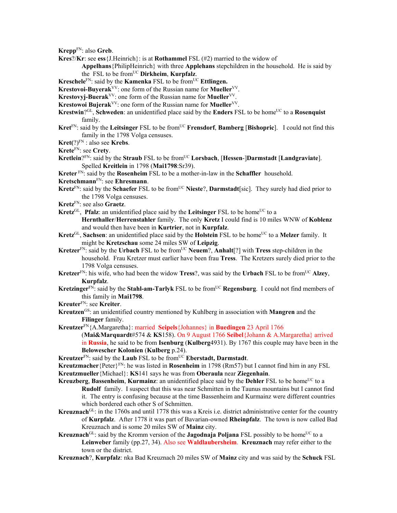**Krepp**FN: also **Greb**.

**Kres**?/**Kr**: see **ess**{J.Heinrich}: is at **Rothammel** FSL (#2) married to the widow of

**Appelhans**{PhilipHeinrich} with three **Applehans** stepchildren in the household. He is said by the FSL to be fromUC **Dirkheim**, **Kurpfalz**.

**Kreschele**FN: said by the **Kamenka** FSL to be from<sup>UC</sup> **Ettlingen.** 

**Krestovoi-Buyerak**VV: one form of the Russian name for **Mueller**VV.

- **Krestovyj-Buerak**<sup>VV</sup>: one form of the Russian name for **Mueller**<sup>VV</sup>.
- **Krestowoi Bujerak<sup>VV</sup>: one form of the Russian name for <b>Mueller**<sup>VV</sup>.
- **Krestwin**?<sup>GL</sup>, **Schweden**: an unidentified place said by the **Enders** FSL to be home<sup>UC</sup> to a **Rosenquist** family.
- **Kret**FN: said by the **Leitsinger** FSL to be fromUC **Frensdorf**, **Bamberg** [**Bishopric**]. I could not find this family in the 1798 Volga censuses.
- **Kret(**?)FN : also see **Krebs**.
- **Krete**FN: see **Crety**.
- **Kretlein**?FN: said by the **Straub** FSL to be from<sup>UC</sup> **Lorsbach**, [Hessen-]Darmstadt [Landgraviate]. Spelled **Kreitlein** in 1798 (**Mai1798**:Sr39).

**Kreter** FN: said by the **Rosenheim** FSL to be a mother-in-law in the **Schaffler** household.

- **Kretschmann**FN: see **Ehresmann**.
- **Kretz**<sup>FN</sup>: said by the **Schaefer** FSL to be from<sup>UC</sup> Nieste?, Darmstadt [sic]. They surely had died prior to the 1798 Volga censuses.
- **Kretz**FN: see also **Graetz**.
- **Kretz**<sup>GL</sup>, **Pfalz**: an unidentified place said by the **Leitsinger** FSL to be home<sup>UC</sup> to a **Hernthaller**/**Herrenstahler** family. The only **Kretz** I could find is 10 miles WNW of **Koblenz** and would then have been in **Kurtrier**, not in **Kurpfalz**.
- Kretz<sup>GL</sup>, Sachsen: an unidentified place said by the Holstein FSL to be home<sup>UC</sup> to a Melzer family. It might be **Kretzschau** some 24 miles SW of **Leipzig**.
- **Kretzer**<sup>FN</sup>: said by the **Urbach** FSL to be from<sup>UC</sup> **Neuem**?, **Anhalt**[?] with **Tress** step-children in the household. Frau Kretzer must earlier have been frau **Tress**. The Kretzers surely died prior to the 1798 Volga censuses.
- **Kretzer**<sup>FN</sup>: his wife, who had been the widow **Tress**?, was said by the **Urbach** FSL to be from<sup>UC</sup> Alzey, **Kurpfalz**.
- **Kretzinger**<sup>FN</sup>: said by the **Stahl-am-Tarlyk** FSL to be from<sup>UC</sup> **Regensburg**. I could not find members of this family in **Mai1798**.
- **Kreuter**FN: see **Kreiter**.
- **Kreutzen**GS: an unidentified country mentioned by Kuhlberg in association with **Mangren** and the **Filinger** family.

**Kreutzer**FN{A.Margaretha}: married **Seipels**{Johannes} in **Buedingen** 23 April 1766

(**Mai&Marquardt**#574 & **KS**158). On 9 August 1766 **Seibel**{Johann & A.Margaretha} arrived in **Russia**, he said to be from **Isenburg** (**Kulberg**4931). By 1767 this couple may have been in the **Belowescher Kolonien** (**Kulberg** p.24).

**Kreutzer**FN: said by the **Laub** FSL to be fromUC **Eberstadt, Darmstadt**.

**Kreutzmacher**{Peter}FN: he was listed in **Rosenheim** in 1798 (Rm57) but I cannot find him in any FSL **Kreutzmueller**{Michael}: **KS**141 says he was from **Oberaula** near **Ziegenhain**.

**Kreuzberg, Bassenheim, Kurmainz**: an unidentified place said by the **Dehler** FSL to be home<sup>UC</sup> to a **Rudolf** family. I suspect that this was near Schmitten in the Taunus mountains but I cannot find it. The entry is confusing because at the time Bassenheim and Kurmainz were different countries which bordered each other S of Schmitten.

- **Kreuznach**GL: in the 1760s and until 1778 this was a Kreis i.e. district administrative center for the country of **Kurpfalz**. After 1778 it was part of Bavarian-owned **Rheinpfalz**. The town is now called Bad Kreuznach and is some 20 miles SW of **Mainz** city.
- Kreuznach<sup>GL</sup>: said by the Kromm version of the **Jagodnaja Poljana** FSL possibly to be home<sup>UC</sup> to a **Leinweber** family (pp.27, 34). Also see **Waldlaubersheim**. **Kreuznach** may refer either to the town or the district.
- **Kreuznach**?, **Kurpfalz**: nka Bad Kreuznach 20 miles SW of **Mainz** city and was said by the **Schuck** FSL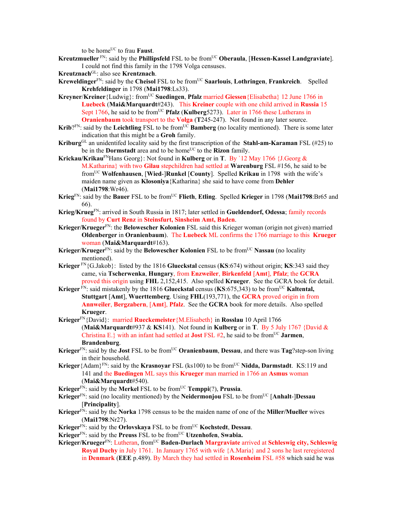to be home<sup>UC</sup> to frau **Faust**.

- **Kreutzmueller** FN: said by the **Phillipsfeld** FSL to be from<sup>UC</sup> Oberaula, [Hessen-Kassel Landgraviate]. I could not find this family in the 1798 Volga censuses.
- **Kreutznach**GL: also see **Krentznach**.
- **Kreweldinger**FN: said by the **Cheisol** FSL to be fromUC **Saarlouis**, **Lothringen**, **Frankreich**. Spelled **Krehfeldinger** in 1798 (**Mai1798**:Ls33).
- **Kreyner/Kreiner**{Ludwig}: from<sup>UC</sup> **Suedingen**, **Pfalz** married **Giessen**{Elisabetha} 12 June 1766 in **Luebeck** (**Mai&Marquardt**#243). This **Kreiner** couple with one child arrived in **Russia** 15 Sept 1766, he said to be from<sup>UC</sup> **Pfalz** (**Kulberg**5273). Later in 1766 these Lutherans in **Oranienbaum** took transport to the **Volga** (**T**245-247). Not found in any later source.
- **Krib**? $FN$ : said by the **Leichtling** FSL to be from  $\overline{UC}$  **Bamberg** (no locality mentioned). There is some later indication that this might be a **Groh** family.
- **Kriburg**GL an unidentifed locality said by the first transcription of the **Stahl-am-Karaman** FSL (#25) to be in the **Dormstadt** area and to be home<sup>UC</sup> to the **Rizon** family.
- **Krickau/Krikau**FNHans Georg}: Not found in **Kulberg** or in **T**. By `12 May 1766 {J.Georg & M.Katharina} with two **Gilau** stepchildren had settled at **Warenburg** FSL #156, he said to be fromUC **Wolfenhausen**, [**Wied**-]**Runkel** [**County**]. Spelled **Krikau** in 1798 with the wife's maiden name given as **Klosoniya**{Katharina} she said to have come from **Dehler** (**Mai1798**:Wr46).
- **Krieg**FN: said by the **Bauer** FSL to be fromUC **Flieth**, **Etling**. Spelled **Krieger** in 1798 (**Mai1798**:Br65 and 66).
- **Krieg/Krueg**FN: arrived in South Russia in 1817; later settled in **Gueldendorf, Odessa**; family records found by **Curt Renz** in **Steinsfurt, Sinsheim Amt, Baden**.
- **Krieger/Krueger**FN: the **Belowescher Kolonien** FSL said this Krieger woman (origin not given) married **Oldenberger** in **Oranienbaum**). The **Luebeck** ML confirms the 1766 marriage to this **Krueger** woman (**Mai&Marquardt**#163).
- **Krieger/Krueger**<sup>FN</sup>: said by the **Belowescher Kolonien** FSL to be from<sup>UC</sup> **Nassau** (no locality mentioned).
- **Krieger** FN{G.Jakob}: listed by the 1816 **Glueckstal** census (**KS**:674) without origin; **KS**:343 said they came, via **Tscherwenka**, **Hungary**, from **Enzweiler**, **Birkenfeld** [**Amt**], **Pfalz**; the **GCRA** proved this origin using **FHL** 2,152,415. Also spelled **Krueger**. See the GCRA book for detail.
- **Krieger**<sup>FN</sup>: said mistakenly by the 1816 **Glueckstal** census (**KS**:675,343) to be from<sup>UC</sup> **Kaltental**, **Stuttgart** [**Amt**], **Wuerttemberg**. Using **FHL**(193,771), the **GCRA** proved origin in from **Annweiler**, **Bergzabern**, [**Amt**], **Pfalz**. See the **GCRA** book for more details. Also spelled **Krueger**.
- **Krieger**FN{David}: married **Rueckemeister**{M.Elisabeth} in **Rosslau** 10 April 1766 (**Mai&Marquardt**#937 & **KS**141). Not found in **Kulberg** or in **T**. By 5 July 1767 {David & Christina E.} with an infant had settled at **Jost** FSL  $#2$ , he said to be from<sup>UC</sup> **Jarmen**, **Brandenburg**.
- **Krieger**FN: said by the **Jost** FSL to be fromUC **Oranienbaum**, **Dessau**, and there was **Tag**?step-son living in their household.
- **Krieger**{Adam}FN: said by the **Krasnoyar** FSL (ks100) to be fromUC **Nidda, Darmstadt**. KS:119 and 141 and the **Buedingen** ML says this **Krueger** man married in 1766 an **Asmus** woman (**Mai&Marquardt**#540).
- **Krieger**FN: said by the **Merkel** FSL to be fromUC **Temppi**(?), **Prussia**.
- **Krieger**FN: said (no locality mentioned) by the **Neidermonjou** FSL to be fromUC [**Anhalt**-]**Dessau** [**Principality**].
- **Krieger**FN: said by the **Norka** 1798 census to be the maiden name of one of the **Miller/Mueller** wives (**Mai1798**:Nr27).
- **Krieger**FN: said by the **Orlovskaya** FSL to be fromUC **Kochstedt**, **Dessau**.
- **Krieger**<sup>FN</sup>: said by the **Preuss** FSL to be from<sup>UC</sup> **Utzenhofen**, **Swabia.**
- **Krieger/Krueger**FN: Lutheran, fromUC **Baden-Durlach Margraviate** arrived at **Schleswig city, Schleswig Royal Duchy** in July 1761. In January 1765 with wife {A.Maria} and 2 sons he last reregistered in **Denmark** (**EEE** p.489). By March they had settled in **Rosenheim** FSL #58 which said he was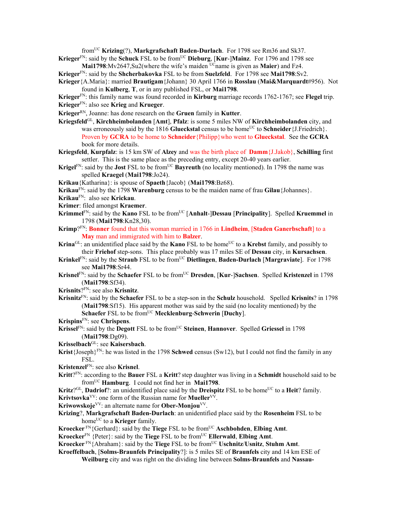fromUC **Krizing**(?), **Markgrafschaft Baden-Durlach**. For 1798 see Rm36 and Sk37.

- **Krieger**<sup>FN</sup>: said by the **Schuck** FSL to be from<sup>UC</sup> Dieburg, [Kur-]Mainz. For 1796 and 1798 see **Mai1798**:Mv2647,Su2(where the wife's maiden <sup>UC</sup>name is given as **Maier**) and Fz4.
- **Krieger**FN: said by the **Shcherbakovka** FSL to be from **Suelzfeld**. For 1798 see **Mai1798**:Sv2.
- **Krieger**{A.Maria}: married **Brautigam**{Johann} 30 April 1766 in **Rosslau** (**Mai&Marquardt**#956). Not found in **Kulberg**, **T**, or in any published FSL, or **Mai1798**.
- **Krieger**FN: this family name was found recorded in **Kirburg** marriage records 1762-1767; see **Flegel** trip. **Krieger**FN: also see **Krieg** and **Krueger**.
- **Krieger**RN, Joanne: has done research on the **Gruen** family in **Kutter**.
- **Kriegsfeld**GL, **Kirchheimbolanden** [**Amt**], **Pfalz**: is some 5 miles NW of **Kirchheimbolanden** city, and was erroneously said by the 1816 **Glueckstal** census to be home<sup>UC</sup> to **Schneider** {J.Friedrich}. Proven by **GCRA** to be home to **Schneider**{Philipp}who went to **Glueckstal**. See the **GCRA** book for more details.
- **Kriegsfeld**, **Kurpfalz**: is 15 km SW of **Alzey** and was the birth place of **Damm**{J.Jakob}, **Schilling** first settler. This is the same place as the preceding entry, except 20-40 years earlier.
- Krigel<sup>FN</sup>: said by the **Jost** FSL to be from<sup>UC</sup> Bayreuth (no locality mentioned). In 1798 the name was spelled **Kraegel** (**Mai1798**:Jo24).
- **Krikau**{Katharina}: is spouse of **Spaeth**{Jacob} (**Mai1798**:Bz68).
- **Krikau**FN: said by the 1798 **Warenburg** census to be the maiden name of frau **Gilau**{Johannes}.
- **Krikau**FN: also see **Krickau**.
- **Krimer**: filed amongst **Kraemer**.
- **Krimmel**FN: said by the **Kano** FSL to be fromUC [**Anhalt**-]**Dessau** [**Principality**]. Spelled **Kruemmel** in 1798 (**Mai1798**:Kn28,30).
- **Krimp**?FN: **Bonner** found that this woman married in 1766 in **Lindheim**, [**Staden Ganerbschaft**] to a **May** man and immigrated with him to **Balzer**.
- **Krina**<sup>GL</sup>: an unidentified place said by the **Kano** FSL to be home<sup>UC</sup> to a **Krebst** family, and possibly to their **Friehof** step-sons. This place probably was 17 miles SE of **Dessau** city, in **Kursachsen**.
- **Krinkel<sup>FN</sup>: said by the Straub** FSL to be from<sup>UC</sup> Dietlingen, Baden-Durlach [Margraviate]. For 1798 see **Mai1798**:Sr44.
- **Krisnel**<sup>FN</sup>: said by the **Schaefer** FSL to be from<sup>UC</sup> **Dresden**, [**Kur-]Sachsen**. Spelled **Kristenzel** in 1798 (**Mai1798**:Sf34).
- **Krisnits**?FN: see also **Krisnitz**.
- **Krisnitz**FN: said by the **Schaefer** FSL to be a step-son in the **Schulz** household. Spelled **Krisnits**? in 1798 (**Mai1798**:Sf15). His apparent mother was said by the said (no locality mentioned) by the **Schaefer** FSL to be from<sup>UC</sup> **Mecklenburg-Schwerin** [Duchy].
- **Krispins**FN: see **Chrispens**.
- Krissel<sup>FN</sup>: said by the **Degott** FSL to be from<sup>UC</sup> Steinen, Hannover. Spelled Griessel in 1798 (**Mai1798**:Dg09).
- **Krisselbach**GL: see **Kaisersbach**.
- **Krist**{Joseph}<sup>FN</sup>: he was listed in the 1798 **Schwed** census (Sw12), but I could not find the family in any FSL.
- **Kristenzel**FN: see also **Krisnel**.
- **Kritt**?FN: according to the **Bauer** FSL a **Kritt**? step daughter was living in a **Schmidt** household said to be fromUC **Hamburg**. I could not find her in **Mai1798**.
- **Kritz**?<sup>GL</sup>, **Dadriof**?: an unidentified place said by the **Dreispitz** FSL to be home<sup>UC</sup> to a **Heit**? family. **Krivtsovka**VV: one form of the Russian name for **Mueller**VV.
- **Kriwowskoje**VV: an alternate name for **Ober-Monjou**VV.
- **Krizing**?, **Markgrafschaft Baden-Durlach**: an unidentified place said by the **Rosenheim** FSL to be home<sup>UC</sup> to a **Krieger** family.
- **Kroecker**<sup>FN</sup>{Gerhard}: said by the **Tiege** FSL to be from<sup>UC</sup> **Aschbohden**, **Elbing Amt**.
- **Kroecker**<sup>FN</sup> {Peter}: said by the **Tiege** FSL to be from<sup>UC</sup> **Ellerwald**, **Elbing Amt**.
- **Kroecker** FN{Abraham}: said by the **Tiege** FSL to be from<sup>UC</sup> **Uschnitz/Usnitz**, **Stuhm Amt**.
- **Kroeffelbach**, [**Solms-Braunfels Principality**?]: is 5 miles SE of **Braunfels** city and 14 km ESE of **Weilburg** city and was right on the dividing line between **Solms-Braunfels** and **Nassau-**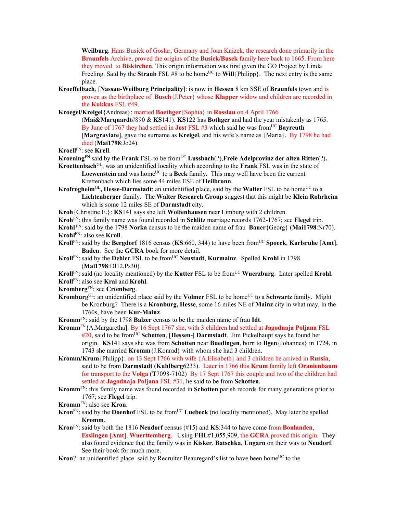**Weilburg**. Hans Busick of Goslar, Germany and Joan Knizek, the research done primarily in the **Braunfels** Archive, proved the origins of the **Busick/Busek** family here back to 1665. From here they moved to **Biskirchen**. This origin information was first given the GO Project by Linda Freeling. Said by the **Straub** FSL #8 to be home<sup>UC</sup> to **Will**{Philipp}. The next entry is the same place.

- **Kroeffelbach**, [**Nassau-Weilburg Principality**]: is now in **Hessen** 8 km SSE of **Braunfels** town and is proven as the birthplace of **Busch**{J.Peter} whose **Klapper** widow and children are recorded in the **Kukkus** FSL #49.
- **Kroegel/Kreigel**{Andreas}: married **Boethger**{Sophia} in **Rosslau** on 4 April 1766

(**Mai&Marquardt**#890 & **KS**141). **KS**122 has **Bothger** and had the year mistakenly as 1765. By June of 1767 they had settled in **Jost** FSL #3 which said he was from<sup>UC</sup> Bayreuth [**Margraviate**], gave the surname as **Kreigel**, and his wife's name as {Maria}. By 1798 he had died (**Mai1798**:Jo24).

**Kroell**FN: see **Krell**.

- **Kroening**<sup>FN</sup> said by the **Frank** FSL to be from<sup>UC</sup> **Lussbach**(?), **Freie Adelprovinz der alten Ritter**(?).
- **Kroettenbach**GL, was an unidentified locality which according to the **Frank** FSL was in the state of Loewenstein and was home<sup>UC</sup> to a Beck family. This may well have been the current Krettenbach which lies some 44 miles ESE of **Heilbronn**.
- Krofrogheim<sup>GL</sup>, Hesse-Darmstadt: an unidentified place, said by the Walter FSL to be home<sup>UC</sup> to a **Lichtenberger** family. The **Walter Research Group** suggest that this might be **Klein Rohrheim** which is some 12 miles SE of **Darmstadt** city.
- **Kroh**{Christine E.}: **KS**141 says she left **Wolfenhausen** near Limburg with 2 children.
- **Kroh**FN: this family name was found recorded in **Schlitz** marriage records 1762-1767; see **Flegel** trip.

**Krohl** FN: said by the 1798 **Norka** census to be the maiden name of frau **Bauer**{Georg} (**Mai1798**:Nr70). **Krohl**FN: also see **Kroll**.

- **Kroll**FN: said by the **Bergdorf** 1816 census (**KS**:660, 344) to have been fromUC **Spoeck**, **Karlsruhe** [**Amt**], **Baden**. See the **GCRA** book for more detail.
- **Kroll**<sup>FN</sup>: said by the **Dehler** FSL to be from<sup>UC</sup> **Neustadt**, **Kurmainz**. Spelled **Krohl** in 1798 (**Mai1798**:Dl12,Ps30).

**Kroll**<sup>FN</sup>: said (no locality mentioned) by the **Kutter** FSL to be from<sup>UC</sup> **Wuerzburg**. Later spelled **Krohl**.

**Kroll**FN: also see **Kral** and **Krohl**.

- **Kromberg**FN: see **Cromberg**.
- **Kromburg**GL: an unidentified place said by the **Volmer** FSL to be home<sup>UC</sup> to a **Schwartz** family. Might be Kronburg? There is a **Kronburg, Hesse**, some 16 miles NE of **Mainz** city in what may, in the 1760s, have been **Kur-Mainz**.
- **Kromm**FN: said by the 1798 **Balzer** census to be the maiden name of frau **Idt**.
- **Kromm**FN{A.Margaretha]: By 16 Sept 1767 she, with 3 children had settled at **Jagodnaja Poljana** FSL #20, said to be from<sup>UC</sup> Schotten, [Hessen-] Darmstadt. Jim Pickelhaupt says he found her origin. **KS**141 says she was from **Schotten** near **Buedingen**, born to **Ilgen**{Johannes} in 1724, in 1743 she married **Kromm**{J.Konrad} with whom she had 3 children.
- **Kromm/Krum**{Philipp}: on 13 Sept 1766 with wife {A.Elisabeth} and 3 children he arrived in **Russia**, said to be from **Darmstadt** (**Kuhlberg**6233). Later in 1766 this **Krum** family left **Oranienbaum**  for transport to the **Volga** (**T**7098-7102) By 17 Sept 1767 this couple and two of the children had settled at **Jagodnaja Poljana** FSL #31, he said to be from **Schotten**.
- **Kromm**FN: this family name was found recorded in **Schotten** parish records for many generations prior to 1767; see **Flegel** trip.
- **Kromm**FN: also see **Kron**.
- **Kron**<sup>FN</sup>: said by the **Doenhof** FSL to be from<sup>UC</sup> **Luebeck** (no locality mentioned). May later be spelled **Kromm**.
- **Kron**FN: said by both the 1816 **Neudorf** census (#15) and **KS**:344 to have come from **Bonlanden**, **Esslingen** [**Amt**], **Wuerttemberg**. Using **FHL**#1,055,909, the **GCRA** proved this origin. They also found evidence that the family was in **Kisker**, **Batschka**, **Ungarn** on their way to **Neudorf**. See their book for much more.
- **Kron**?: an unidentified place said by Recruiter Beauregard's list to have been home<sup>UC</sup> to the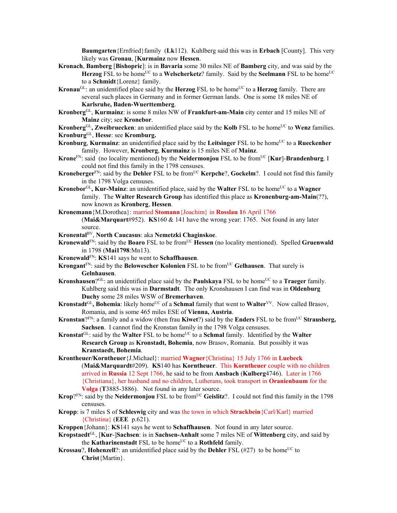**Baumgarten**{Ernfried}family (**Lk**112). Kuhlberg said this was in **Erbach** [County]. This very likely was **Gronau**, [**Kurmainz** now **Hessen**.

- **Kronach**, **Bamberg** [**Bishopric**]: is in **Bavaria** some 30 miles NE of **Bamberg** city, and was said by the **Herzog** FSL to be home<sup>UC</sup> to a **Welscherketz**? family. Said by the **Seelmann** FSL to be home<sup>UC</sup> to a **Schmidt**{Lorenz} family.
- **Kronau**<sup>GL</sup>: an unidentified place said by the **Herzog** FSL to be home<sup>UC</sup> to a **Herzog** family. There are several such places in Germany and in former German lands. One is some 18 miles NE of **Karlsruhe, Baden-Wuerttemberg**.
- **Kronberg**GL, **Kurmainz**: is some 8 miles NW of **Frankfurt-am-Main** city center and 15 miles NE of **Mainz** city; see **Kronebor**.

**Kronberg**<sup>GL</sup>, **Zweibruecken**: an unidentified place said by the **Kolb** FSL to be home<sup>UC</sup> to **Wenz** families. **Kronburg**GL, **Hesse**: see **Kromburg.**

- **Kronburg, Kurmainz**: an unidentified place said by the Leitsinger FSL to be home<sup>UC</sup> to a Rueckenher family. However, **Kronberg**, **Kurmainz** is 15 miles NE of **Mainz**.
- **Krone**<sup>FN</sup>: said (no locality mentioned) by the **Neidermoniou** FSL to be from<sup>UC</sup> [**Kur**]-**Brandenburg**. I could not find this family in the 1798 censuses.
- **Kroneberger**<sup>FN</sup>: said by the **Dehler** FSL to be from<sup>UC</sup> **Kerpche**?, **Gockelm**?. I could not find this family in the 1798 Volga censuses.
- **Kronebor**<sup>GL</sup>, **Kur-Mainz**: an unidentified place, said by the **Walter** FSL to be home<sup>UC</sup> to a **Wagner** family. The **Walter Research Group** has identified this place as **Kronenburg-am-Main**(??), now known as **Kronberg**, **Hessen**.
- **Kronemann**{M.Dorothea}: married **Stomann**{Joachim} in **Rosslau 1**6 April 1766 (**Mai&Marquart**#952). **KS**160 & 141 have the wrong year: 1765. Not found in any later source.
- **Kronental**BV, **North Caucasus**: aka **Nemetzki Chaginskoe**.
- **Kronewald**<sup>FN</sup>: said by the **Boaro** FSL to be from<sup>UC</sup> **Hessen** (no locality mentioned). Spelled **Gruenwald** in 1798 (**Mai1798**:Mn13).
- **Kronewald**FN: **KS**141 says he went to **Schaffhausen**.
- **Krongant**<sup>FN</sup>: said by the **Belowescher Kolonien** FSL to be from<sup>UC</sup> Gelhausen. That surely is **Gelnhausen**.
- **Kronshausen**?GL: an unidentified place said by the **Paulskaya** FSL to be home<sup>UC</sup> to a **Traeger** family. Kuhlberg said this was in **Darmstadt**. The only Kronshausen I can find was in **Oldenburg Duchy** some 28 miles WSW of **Bremerhaven**.
- **Kronstadt**<sup>GL</sup>, Bohemia: likely home<sup>UC</sup> of a **Schmal** family that went to **Walter**<sup>VV</sup>. Now called Brasov, Romania, and is some 465 miles ESE of **Vienna, Austria**.
- **Kronstan**?<sup>FN</sup>: a family and a widow (then frau **Kiwet**?) said by the **Enders** FSL to be from<sup>UC</sup> **Strausberg, Sachsen**. I cannot find the Kronstan family in the 1798 Volga censuses.
- **Kronstat**<sup>GL</sup>: said by the **Walter** FSL to be home<sup>UC</sup> to a **Schmal** family. Identified by the **Walter Research Group** as **Kronstadt, Bohemia**, now Brasov, Romania. But possibly it was **Kranstaedt, Bohemia**.
- **Krontheuer/Korntheuer**{J.Michael}: married **Wagner**{Christina} 15 July 1766 in **Luebeck**  (**Mai&Marquardt**#209). **KS**140 has **Korntheuer**. This **Korntheuer** couple with no children arrived in **Russia** 12 Sept 1766, he said to be from **Ansbach** (**Kulberg**4746). Later in 1766 {Christiana}, her husband and no children, Lutherans, took transport in **Oranienbaum** for the **Volga** (**T**3885-3886). Not found in any later source.
- **Krop**?FN: said by the **Neidermonjou** FSL to be from<sup>UC</sup> Geislitz?. I could not find this family in the 1798 censuses.
- **Kropp**: is 7 miles S of **Schleswig** city and was the town in which **Strackbein**{Carl/Karl} married {Christina} (**EEE** p.621).
- **Kroppen**{Johann}: **KS**141 says he went to **Schaffhausen**. Not found in any later source.
- **Kropstaedt**GL, [**Kur**-]**Sachsen**: is in **Sachsen-Anhalt** some 7 miles NE of **Wittenberg** city, and said by the **Katharinenstadt** FSL to be home<sup>UC</sup> to a **Rothfeld** family.
- **Krossau**?, **Hohenzell**?: an unidentified place said by the **Dehler** FSL (#27) to be home<sup>UC</sup> to **Christ**{Martin}.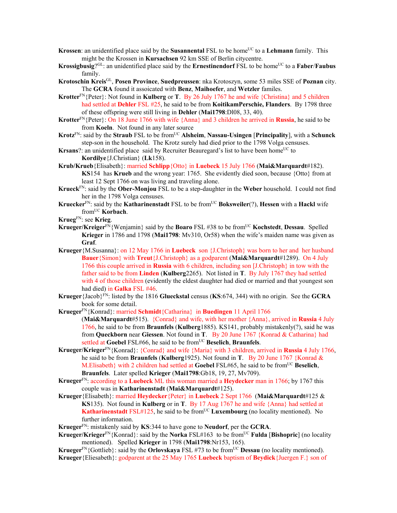- **Krossen**: an unidentified place said by the **Susannental** FSL to be home<sup>UC</sup> to a **Lehmann** family. This might be the Krossen in **Kursachsen** 92 km SSE of Berlin citycentre.
- **Krossigbusig**?<sup>GL</sup>: an unidentified place said by the **Ernestinendorf** FSL to be home<sup>UC</sup> to a **Faber/Faubus** family.
- **Krotoschin Kreis**GL, **Posen Province**, **Suedpreussen**: nka Krotoszyn, some 53 miles SSE of **Poznan** city. The **GCRA** found it assoicated with **Benz**, **Maihoefer**, and **Wetzler** familes.
- **Krotter**FN{Peter}: Not found in **Kulberg** or **T**. By 26 July 1767 he and wife {Christina} and 5 children had settled at **Dehler** FSL #25, he said to be from **KoitikamPerschie, Flanders**. By 1798 three of these offspring were still living in **Dehler** (**Mai1798**:Dl08, 33, 40).
- **Krotter**FN{Peter}: On 18 June 1766 with wife {Anna} and 3 children he arrived in **Russia**, he said to be from **Koeln**. Not found in any later source
- **Krotz**<sup>FN</sup>: said by the **Straub** FSL to be from<sup>UC</sup> **Alsheim**, **Nassau-Usingen** [**Principality**], with a **Schunck** step-son in the household. The Krotz surely had died prior to the 1798 Volga censuses.
- **Krsans**?: an unidentified place said by Recruiter Beauregard's list to have been home<sup>UC</sup> to **Kordilye**{J.Christian} (**Lk**158).
- **Krub/Krueb**{Elisabeth}: married **Schlipp**{Otto} in **Luebeck** 15 July 1766 (**Mai&Marquardt**#182). **KS**154 has **Krueb** and the wrong year: 1765. She evidently died soon, because {Otto} from at least 12 Sept 1766 on was living and traveling alone.
- **Krueck**FN: said by the **Ober-Monjou** FSL to be a step-daughter in the **Weber** household. I could not find her in the 1798 Volga censuses.
- **Kruecker**FN: said by the **Katharinenstadt** FSL to be fromUC **Boksweiler**(?), **Hessen** with a **Hackl** wife fromUC **Korbach**.
- **Krueg**FN: see **Krieg**.
- **Krueger/Kreiger**FN{Wenjamin} said by the **Boaro** FSL #38 to be fromUC **Kochstedt**, **Dessau**. Spelled **Krieger** in 1786 and 1798 (**Mai1798**: Mv310, Or58) when the wife's maiden name was given as **Graf**.
- **Krueger**{M.Susanna}: on 12 May 1766 in **Luebeck** son {J.Christoph} was born to her and her husband **Bauer**{Simon} with **Treut**{J.Christoph} as a godparent (**Mai&Marquardt**#1289). On 4 July 1766 this couple arrived in **Russia** with 6 children, including son [J.Christoph} in tow with the father said to be from **Linden** (**Kulberg**2265). Not listed in **T**. By July 1767 they had settled with 4 of those children (evidently the eldest daughter had died or married and that youngest son had died) in **Galka** FSL #46.
- **Krueger**{Jacob}FN: listed by the 1816 **Glueckstal** census (**KS**:674, 344) with no origin. See the **GCRA** book for some detail.
- **Krueger**FN{Konrad}: married **Schmidt**{Catharina} in **Buedingen** 11 April 1766

(**Mai&Marquardt**#515). {Conrad} and wife, with her mother {Anna}, arrived in **Russia** 4 July 1766, he said to be from **Braunfels** (**Kulberg**1885). KS141, probably mistakenly(?), said he was from **Queckborn** near **Giessen**. Not found in **T**. By 20 June 1767 {Konrad & Catharina} had settled at Goebel FSL#66, he said to be from<sup>UC</sup> Beselich, Braunfels.

- **Krueger/Krieger**FN{Konrad}: {Conrad} and wife {Maria} with 3 children, arrived in **Russia** 4 July 1766, he said to be from **Braunfels** (**Kulberg**1925). Not found in **T**. By 20 June 1767 {Konrad & M.Elisabeth} with 2 children had settled at **Goebel** FSL#65, he said to be fromUC **Beselich**, **Braunfels**. Later spelled **Krieger** (**Mai1798**:Gb18, 19, 27, Mv709).
- **Krueger**FN: according to a **Luebeck** ML this woman married a **Heydecker** man in 1766; by 1767 this couple was in **Katharinenstadt** (**Mai&Marquardt**#125).
- **Krueger**{Elisabeth}: married **Heydecker**{Peter} in **Luebeck** 2 Sept 1766 (**Mai&Marquardt**#125 & **KS**135). Not found in **Kulberg** or in **T**. By 17 Aug 1767 he and wife {Anna} had settled at **Katharinenstadt** FSL#125, he said to be from<sup>UC</sup> **Luxembourg** (no locality mentioned). No further information.
- **Krueger**FN: mistakenly said by **KS**:344 to have gone to **Neudorf**, per the **GCRA**.
- **Krueger/Krieger**FN{Konrad}: said by the **Norka** FSL#163 to be fromUC **Fulda** [**Bishopric**] (no locality mentioned). Spelled **Krieger** in 1798 (**Mai1798**:Nr153, 165).
- **Krueger**FN{Gottlieb}: said by the **Orlovskaya** FSL #73 to be fromUC **Dessau** (no locality mentioned).
- **Krueger**{Eliesabeth}: godparent at the 25 May 1765 **Luebeck** baptism of **Beydick**{Juergen F.} son of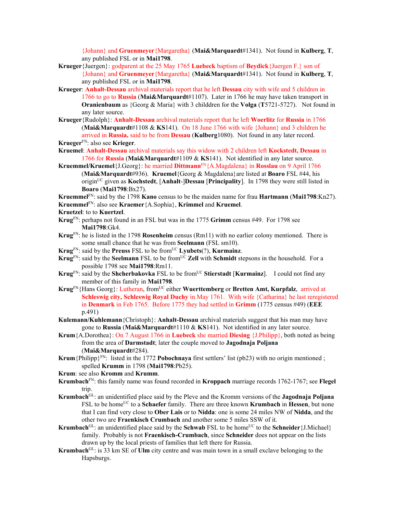{Johann} and **Gruenmeyer**{Margaretha} (**Mai&Marquardt**#1341). Not found in **Kulberg**, **T**, any published FSL or in **Mai1798**.

- **Krueger**{Juergen}: godparent at the 25 May 1765 **Luebeck** baptism of **Beydick**{Juergen F.} son of {Johann} and **Gruenmeyer**{Margaretha} (**Mai&Marquardt**#1341). Not found in **Kulberg**, **T**, any published FSL or in **Mai1798**.
- **Krueger**: **Anhalt-Dessau** archival materials report that he left **Dessau** city with wife and 5 children in 1766 to go to **Russia** (**Mai&Marquardt**#1107). Later in 1766 he may have taken transport in **Oranienbaum** as {Georg & Maria} with 3 childdren for the **Volga** (**T**5721-5727). Not found in any later source.
- **Krueger**{Rudolph}: **Anhalt-Dessau** archival materials report that he left **Woerlitz** for **Russia** in 1766 (**Mai&Marquardt**#1108 & **KS**141). On 18 June 1766 with wife {Johann} and 3 children he arrived in **Russia,** said to be from **Dessau** (**Kulberg**1080). Not found in any later record. **Krueger**FN: also see **Krieger**.
- **Kruemel**: **Anhalt-Dessau** archival materials say this widow with 2 children left **Kockstedt, Dessau** in 1766 for **Russia** (**Mai&Marquardt**#1109 & **KS**141). Not identified in any later source.
- **Kruemmel/Kruemel**{J.Georg}: he married **Dittmann**FN{A.Magdalena} in **Rosslau** on 9 April 1766 (**Mai&Marquardt**#936). **Kruemel**{Georg & Magdalena}are listed at **Boaro** FSL #44, his originUC given as **Kochstedt**, [**Anhalt**-]**Dessau** [**Principality**]. In 1798 they were still listed in **Boaro** (**Mai1798**:Bx27).

**Kruemmel**FN: said by the 1798 **Kano** census to be the maiden name for frau **Hartmann** (**Mai1798**:Kn27). **Kruemmel**FN: also see **Kraemer**{A.Sophia}, **Krimmel** and **Kruemel**.

**Kruetzel**: to to **Kuertzel**.

- **Krug**FN: perhaps not found in an FSL but was in the 1775 **Grimm** census #49. For 1798 see **Mai1798**:Gk4.
- **Krug**FN: he is listed in the 1798 **Rosenheim** census (Rm11) with no earlier colony mentioned. There is some small chance that he was from **Seelmann** (FSL sm10).
- **Krug**FN: said by the **Preuss** FSL to be fromUC **Lyubets**(?), **Kurmainz**.
- **Krug**<sup>FN</sup>: said by the **Seelmann** FSL to be from<sup>UC</sup> **Zell** with **Schmidt** stepsons in the household. For a possible 1798 see **Mai1798**:Rm11.
- **Krug**<sup>FN</sup>: said by the **Shcherbakovka** FSL to be from<sup>UC</sup> **Stierstadt** [**Kurmainz**]. I could not find any member of this family in **Mai1798**.
- **Krug**FN{Hans Georg}: Lutheran, fromUC either **Wuerttemberg** or **Bretten Amt, Kurpfalz**, arrived at **Schleswig city, Schleswig Royal Duchy** in May 1761. With wife {Catharina} he last reregistered in **Denmark** in Feb 1765. Before 1775 they had settled in **Grimm** (1775 census #49) (**EEE** p.491)
- **Kulemann/Kuhlemann**{Christoph}: **Anhalt-Dessau** archival materials suggest that his man may have gone to **Russia** (**Mai&Marquardt**#1110 & **KS**141). Not identified in any later source.
- **Krum**{A.Dorothea}: On 7 August 1766 in **Luebeck** she married **Diesing** {J.Philipp}, both noted as being from the area of **Darmstadt**; later the couple moved to **Jagodnaja Poljana** (**Mai&Marquardt**#284).
- **Krum** {Philipp} $F_N$ : listed in the 1772 **Pobochnaya** first settlers' list (pb23) with no origin mentioned; spelled **Krumm** in 1798 (**Mai1798**:Pb25).
- **Krum**: see also **Kromm** and **Krumm**.
- **Krumbach**FN: this family name was found recorded in **Kroppach** marriage records 1762-1767; see **Flegel** trip.
- **Krumbach**GL: an unidentified place said by the Pleve and the Kromm versions of the **Jagodnaja Poljana**  FSL to be homeUC to a **Schaefer** family. There are three known **Krumbach** in **Hessen**, but none that I can find very close to **Ober Lais** or to **Nidda**: one is some 24 miles NW of **Nidda**, and the other two are **Fraenkisch Crumbach** and another some 5 miles SSW of it.
- **Krumbach**<sup>GL</sup>: an unidentified place said by the **Schwab** FSL to be home<sup>UC</sup> to the **Schneider** {J.Michael} family. Probably is not **Fraenkisch-Crumbach**, since **Schneider** does not appear on the lists drawn up by the local priests of families that left there for Russia.
- **Krumbach**GL: is 33 km SE of **Ulm** city centre and was main town in a small exclave belonging to the Hapsburgs.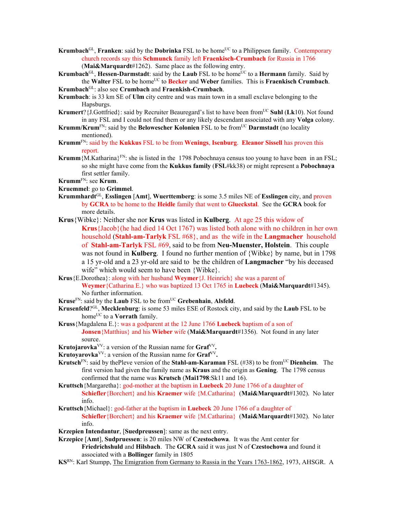- **Krumbach**<sup>GL</sup>, **Franken**: said by the **Dobrinka** FSL to be home<sup>UC</sup> to a Philippsen family. Contemporary church records say this **Schmunck** family left **Fraenkisch-Crumbach** for Russia in 1766 (**Mai&Marquardt**#1262). Same place as the following entry.
- **Krumbach**<sup>GL</sup>, **Hessen-Darmstadt**: said by the **Laub** FSL to be home<sup>UC</sup> to a **Hermann** family. Said by the **Walter** FSL to be homeUC to **Becker** and **Weber** families. This is **Fraenkisch Crumbach**.
- **Krumbach**GL: also see **Crumbach** and **Fraenkish-Crumbach**.
- **Krumbach**: is 33 km SE of **Ulm** city centre and was main town in a small exclave belonging to the Hapsburgs.
- **Krumert**?{J.Gottfried}: said by Recruiter Beauregard's list to have been from<sup>UC</sup> Suhl (Lk10). Not found in any FSL and I could not find them or any likely descendant associated with any **Volga** colony.
- **Krumm/Krum<sup>FN</sup>: said by the Belowescher Kolonien** FSL to be from<sup>UC</sup> Darmstadt (no locality mentioned).
- **Krumm**FN: said by the **Kukkus** FSL to be from **Wenings**, **Isenburg**. **Eleanor Sissell** has proven this report.
- **Krumm**{M.Katharina}<sup>FN</sup>: she is listed in the 1798 Pobochnaya census too young to have been in an FSL; so she might have come from the **Kukkus family** (**FSL**#kk38) or might represent a **Pobochnaya**  first settler family.

**Krumm**FN: see **Krum**.

- **Kruemmel**: go to **Grimmel**.
- **Krummhardt**GL, **Esslingen** [**Amt**], **Wuerttemberg**: is some 3.5 miles NE of **Esslingen** city, and proven by **GCRA** to be home to the **Heidle** family that went to **Glueckstal**. See the **GCRA** book for more details.
- **Krus**{Wibke}: Neither she nor **Krus** was listed in **Kulberg**. At age 25 this widow of **Krus**{Jacob}(he had died 14 Oct 1767) was listed both alone with no children in her own household (**Stahl-am-Tarlyk** FSL #68}, and as the wife in the **Langmacher** household of **Stahl-am-Tarlyk** FSL #69, said to be from **Neu-Muenster, Holstein**. This couple was not found in **Kulberg**. I found no further mention of {Wibke} by name, but in 1798 a 15 yr-old and a 23 yr-old are said to be the children of **Langmacher** "by his deceased wife" which would seem to have been {Wibke}.
- **Krus**{E.Dorothea}: along with her husband **Weymer**{J. Heinrich} she was a parent of

**Weymer**{Catharina E.} who was baptized 13 Oct 1765 in **Luebeck** (**Mai&Marquardt**#1345). No further information.

- **Kruse**FN: said by the **Laub** FSL to be fromUC **Grebenhain**, **Alsfeld**.
- **Krusenfeld**?GL, **Mecklenburg**: is some 53 miles ESE of Rostock city, and said by the **Laub** FSL to be home<sup>UC</sup> to a **Vorrath** family.
- **Kruss**{Magdalena E.}: was a godparent at the 12 June 1766 **Luebeck** baptism of a son of **Jonsen**{Matthius} and his **Wieber** wife (**Mai&Marquardt**#1356). Not found in any later source.
- **Krutojarovka**<sup>VV</sup>: a version of the Russian name for Graf<sup>VV</sup>.
- **Krutoyarovka**VV: a version of the Russian name for **Graf**VV**.**
- **Krutsch**FN: said by thePleve version of the **Stahl-am-Karaman** FSL (#38) to be fromUC **Dienheim**.The first version had given the family name as **Kraus** and the origin as **Gening**. The 1798 census confirmed that the name was **Krutsch** (**Mai1798**:Sk11 and 16).
- **Kruttsch**{Margaretha}: god-mother at the baptism in **Luebeck** 20 June 1766 of a daughter of **Schiefler**{Borchert} and his **Kraemer** wife {M.Catharina} (**Mai&Marquardt**#1302). No later info.
- **Kruttsch**{Michael}: god-father at the baptism in **Luebeck** 20 June 1766 of a daughter of **Schiefler**{Borchert} and his **Kraemer** wife {M.Catharina} (**Mai&Marquardt**#1302). No later info.
- **Krzepien Intendantur**, [**Suedpreussen**]: same as the next entry.
- **Krzepice** [**Amt**], **Sudpruessen**: is 20 miles NW of **Czestochowa**. It was the Amt center for **Friedrichshuld** and **Hilsbach**. The **GCRA** said it was just N of **Czestochowa** and found it associated with a **Bollinger** family in 1805
- **KS**RN: Karl Stumpp, The Emigration from Germany to Russia in the Years 1763-1862, 1973, AHSGR. A